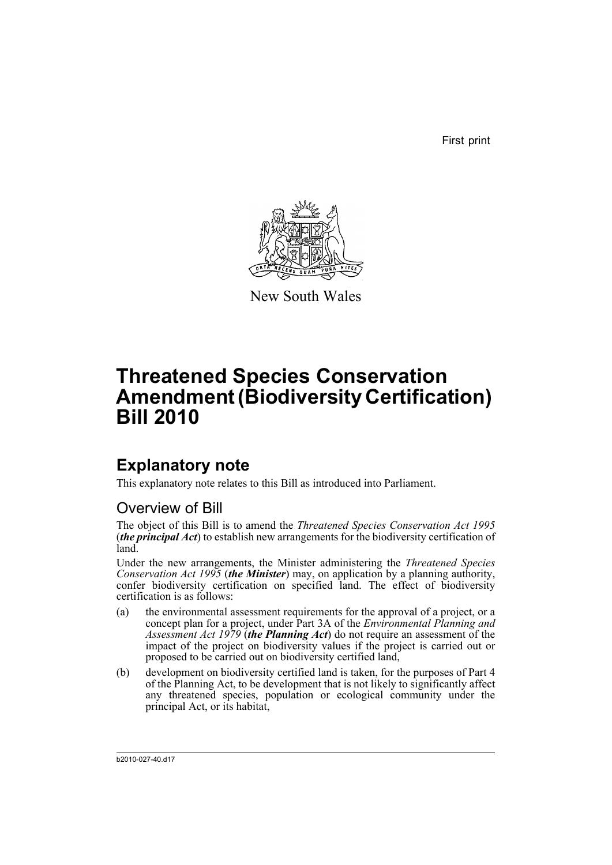First print



New South Wales

# **Threatened Species Conservation Amendment (Biodiversity Certification) Bill 2010**

# **Explanatory note**

This explanatory note relates to this Bill as introduced into Parliament.

# Overview of Bill

The object of this Bill is to amend the *Threatened Species Conservation Act 1995* (*the principal Act*) to establish new arrangements for the biodiversity certification of land.

Under the new arrangements, the Minister administering the *Threatened Species Conservation Act 1995* (*the Minister*) may, on application by a planning authority, confer biodiversity certification on specified land. The effect of biodiversity certification is as follows:

- (a) the environmental assessment requirements for the approval of a project, or a concept plan for a project, under Part 3A of the *Environmental Planning and Assessment Act 1979* (*the Planning Act*) do not require an assessment of the impact of the project on biodiversity values if the project is carried out or proposed to be carried out on biodiversity certified land,
- (b) development on biodiversity certified land is taken, for the purposes of Part 4 of the Planning Act, to be development that is not likely to significantly affect any threatened species, population or ecological community under the principal Act, or its habitat,

b2010-027-40.d17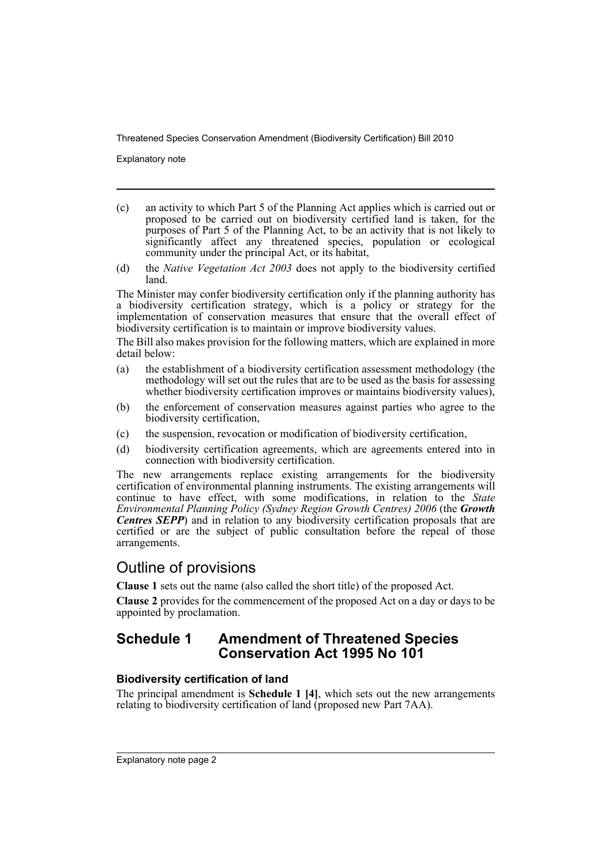Explanatory note

- (c) an activity to which Part 5 of the Planning Act applies which is carried out or proposed to be carried out on biodiversity certified land is taken, for the purposes of Part 5 of the Planning Act, to be an activity that is not likely to significantly affect any threatened species, population or ecological community under the principal Act, or its habitat,
- (d) the *Native Vegetation Act 2003* does not apply to the biodiversity certified land.

The Minister may confer biodiversity certification only if the planning authority has a biodiversity certification strategy, which is a policy or strategy for the implementation of conservation measures that ensure that the overall effect of biodiversity certification is to maintain or improve biodiversity values.

The Bill also makes provision for the following matters, which are explained in more detail below:

- (a) the establishment of a biodiversity certification assessment methodology (the methodology will set out the rules that are to be used as the basis for assessing whether biodiversity certification improves or maintains biodiversity values),
- (b) the enforcement of conservation measures against parties who agree to the biodiversity certification,
- (c) the suspension, revocation or modification of biodiversity certification,
- (d) biodiversity certification agreements, which are agreements entered into in connection with biodiversity certification.

The new arrangements replace existing arrangements for the biodiversity certification of environmental planning instruments. The existing arrangements will continue to have effect, with some modifications, in relation to the *State Environmental Planning Policy (Sydney Region Growth Centres) 2006* (the *Growth Centres SEPP*) and in relation to any biodiversity certification proposals that are certified or are the subject of public consultation before the repeal of those arrangements.

# Outline of provisions

**Clause 1** sets out the name (also called the short title) of the proposed Act.

**Clause 2** provides for the commencement of the proposed Act on a day or days to be appointed by proclamation.

# **Schedule 1 Amendment of Threatened Species Conservation Act 1995 No 101**

# **Biodiversity certification of land**

The principal amendment is **Schedule 1 [4]**, which sets out the new arrangements relating to biodiversity certification of land (proposed new Part 7AA).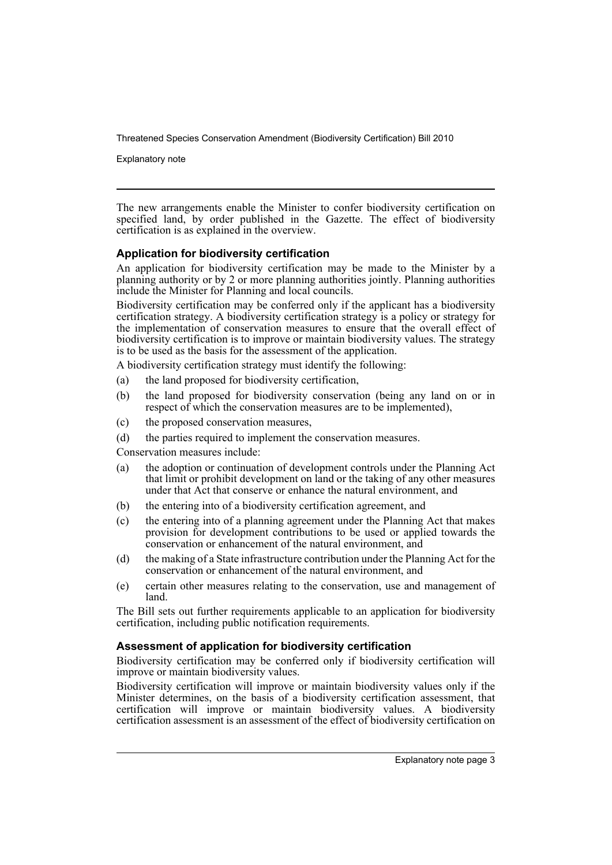Explanatory note

The new arrangements enable the Minister to confer biodiversity certification on specified land, by order published in the Gazette. The effect of biodiversity certification is as explained in the overview.

# **Application for biodiversity certification**

An application for biodiversity certification may be made to the Minister by a planning authority or by 2 or more planning authorities jointly. Planning authorities include the Minister for Planning and local councils.

Biodiversity certification may be conferred only if the applicant has a biodiversity certification strategy. A biodiversity certification strategy is a policy or strategy for the implementation of conservation measures to ensure that the overall effect of biodiversity certification is to improve or maintain biodiversity values. The strategy is to be used as the basis for the assessment of the application.

A biodiversity certification strategy must identify the following:

- (a) the land proposed for biodiversity certification,
- (b) the land proposed for biodiversity conservation (being any land on or in respect of which the conservation measures are to be implemented),
- (c) the proposed conservation measures,
- (d) the parties required to implement the conservation measures.

Conservation measures include:

- (a) the adoption or continuation of development controls under the Planning Act that limit or prohibit development on land or the taking of any other measures under that Act that conserve or enhance the natural environment, and
- (b) the entering into of a biodiversity certification agreement, and
- (c) the entering into of a planning agreement under the Planning Act that makes provision for development contributions to be used or applied towards the conservation or enhancement of the natural environment, and
- (d) the making of a State infrastructure contribution under the Planning Act for the conservation or enhancement of the natural environment, and
- (e) certain other measures relating to the conservation, use and management of land.

The Bill sets out further requirements applicable to an application for biodiversity certification, including public notification requirements.

# **Assessment of application for biodiversity certification**

Biodiversity certification may be conferred only if biodiversity certification will improve or maintain biodiversity values.

Biodiversity certification will improve or maintain biodiversity values only if the Minister determines, on the basis of a biodiversity certification assessment, that certification will improve or maintain biodiversity values. A biodiversity certification assessment is an assessment of the effect of biodiversity certification on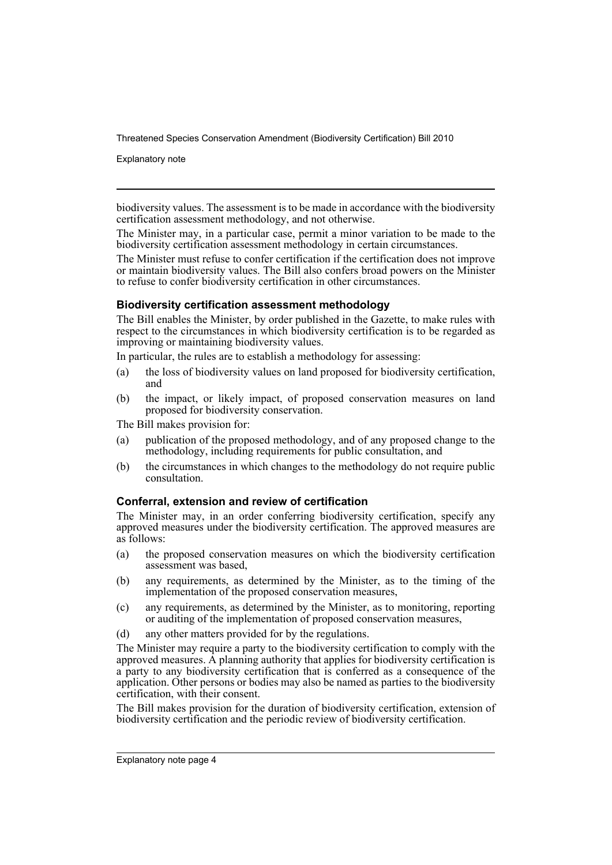Explanatory note

biodiversity values. The assessment is to be made in accordance with the biodiversity certification assessment methodology, and not otherwise.

The Minister may, in a particular case, permit a minor variation to be made to the biodiversity certification assessment methodology in certain circumstances.

The Minister must refuse to confer certification if the certification does not improve or maintain biodiversity values. The Bill also confers broad powers on the Minister to refuse to confer biodiversity certification in other circumstances.

# **Biodiversity certification assessment methodology**

The Bill enables the Minister, by order published in the Gazette, to make rules with respect to the circumstances in which biodiversity certification is to be regarded as improving or maintaining biodiversity values.

In particular, the rules are to establish a methodology for assessing:

- (a) the loss of biodiversity values on land proposed for biodiversity certification, and
- (b) the impact, or likely impact, of proposed conservation measures on land proposed for biodiversity conservation.

The Bill makes provision for:

- (a) publication of the proposed methodology, and of any proposed change to the methodology, including requirements for public consultation, and
- (b) the circumstances in which changes to the methodology do not require public consultation.

# **Conferral, extension and review of certification**

The Minister may, in an order conferring biodiversity certification, specify any approved measures under the biodiversity certification. The approved measures are as follows:

- (a) the proposed conservation measures on which the biodiversity certification assessment was based,
- (b) any requirements, as determined by the Minister, as to the timing of the implementation of the proposed conservation measures,
- (c) any requirements, as determined by the Minister, as to monitoring, reporting or auditing of the implementation of proposed conservation measures,
- (d) any other matters provided for by the regulations.

The Minister may require a party to the biodiversity certification to comply with the approved measures. A planning authority that applies for biodiversity certification is a party to any biodiversity certification that is conferred as a consequence of the application. Other persons or bodies may also be named as parties to the biodiversity certification, with their consent.

The Bill makes provision for the duration of biodiversity certification, extension of biodiversity certification and the periodic review of biodiversity certification.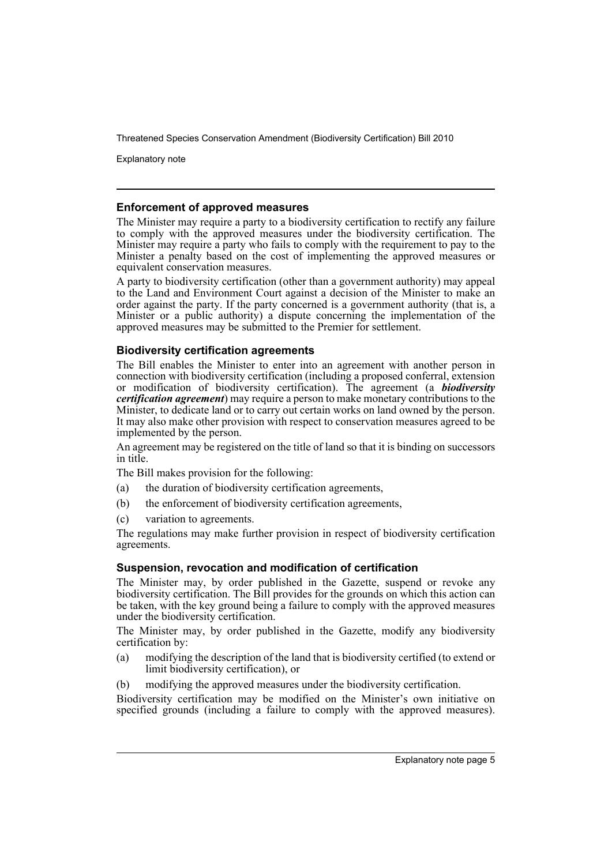Explanatory note

# **Enforcement of approved measures**

The Minister may require a party to a biodiversity certification to rectify any failure to comply with the approved measures under the biodiversity certification. The Minister may require a party who fails to comply with the requirement to pay to the Minister a penalty based on the cost of implementing the approved measures or equivalent conservation measures.

A party to biodiversity certification (other than a government authority) may appeal to the Land and Environment Court against a decision of the Minister to make an order against the party. If the party concerned is a government authority (that is, a Minister or a public authority) a dispute concerning the implementation of the approved measures may be submitted to the Premier for settlement.

# **Biodiversity certification agreements**

The Bill enables the Minister to enter into an agreement with another person in connection with biodiversity certification (including a proposed conferral, extension or modification of biodiversity certification). The agreement (a *biodiversity certification agreement*) may require a person to make monetary contributions to the Minister, to dedicate land or to carry out certain works on land owned by the person. It may also make other provision with respect to conservation measures agreed to be implemented by the person.

An agreement may be registered on the title of land so that it is binding on successors in title.

The Bill makes provision for the following:

- (a) the duration of biodiversity certification agreements,
- (b) the enforcement of biodiversity certification agreements,
- (c) variation to agreements.

The regulations may make further provision in respect of biodiversity certification agreements.

# **Suspension, revocation and modification of certification**

The Minister may, by order published in the Gazette, suspend or revoke any biodiversity certification. The Bill provides for the grounds on which this action can be taken, with the key ground being a failure to comply with the approved measures under the biodiversity certification.

The Minister may, by order published in the Gazette, modify any biodiversity certification by:

- (a) modifying the description of the land that is biodiversity certified (to extend or limit biodiversity certification), or
- (b) modifying the approved measures under the biodiversity certification.

Biodiversity certification may be modified on the Minister's own initiative on specified grounds (including a failure to comply with the approved measures).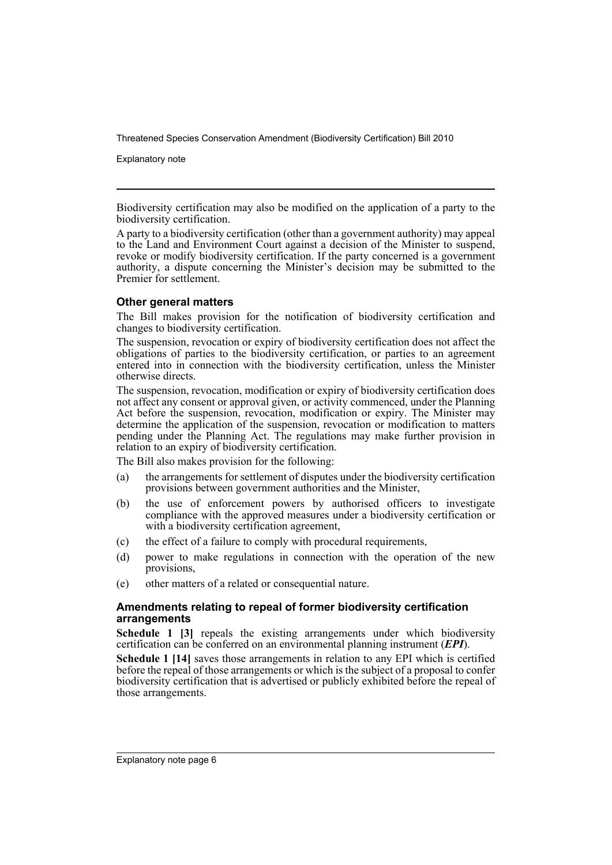Explanatory note

Biodiversity certification may also be modified on the application of a party to the biodiversity certification.

A party to a biodiversity certification (other than a government authority) may appeal to the Land and Environment Court against a decision of the Minister to suspend, revoke or modify biodiversity certification. If the party concerned is a government authority, a dispute concerning the Minister's decision may be submitted to the Premier for settlement.

# **Other general matters**

The Bill makes provision for the notification of biodiversity certification and changes to biodiversity certification.

The suspension, revocation or expiry of biodiversity certification does not affect the obligations of parties to the biodiversity certification, or parties to an agreement entered into in connection with the biodiversity certification, unless the Minister otherwise directs.

The suspension, revocation, modification or expiry of biodiversity certification does not affect any consent or approval given, or activity commenced, under the Planning Act before the suspension, revocation, modification or expiry. The Minister may determine the application of the suspension, revocation or modification to matters pending under the Planning Act. The regulations may make further provision in relation to an expiry of biodiversity certification.

The Bill also makes provision for the following:

- (a) the arrangements for settlement of disputes under the biodiversity certification provisions between government authorities and the Minister,
- (b) the use of enforcement powers by authorised officers to investigate compliance with the approved measures under a biodiversity certification or with a biodiversity certification agreement,
- (c) the effect of a failure to comply with procedural requirements,
- (d) power to make regulations in connection with the operation of the new provisions,
- (e) other matters of a related or consequential nature.

# **Amendments relating to repeal of former biodiversity certification arrangements**

**Schedule 1 [3]** repeals the existing arrangements under which biodiversity certification can be conferred on an environmental planning instrument (*EPI*).

**Schedule 1 [14]** saves those arrangements in relation to any EPI which is certified before the repeal of those arrangements or which is the subject of a proposal to confer biodiversity certification that is advertised or publicly exhibited before the repeal of those arrangements.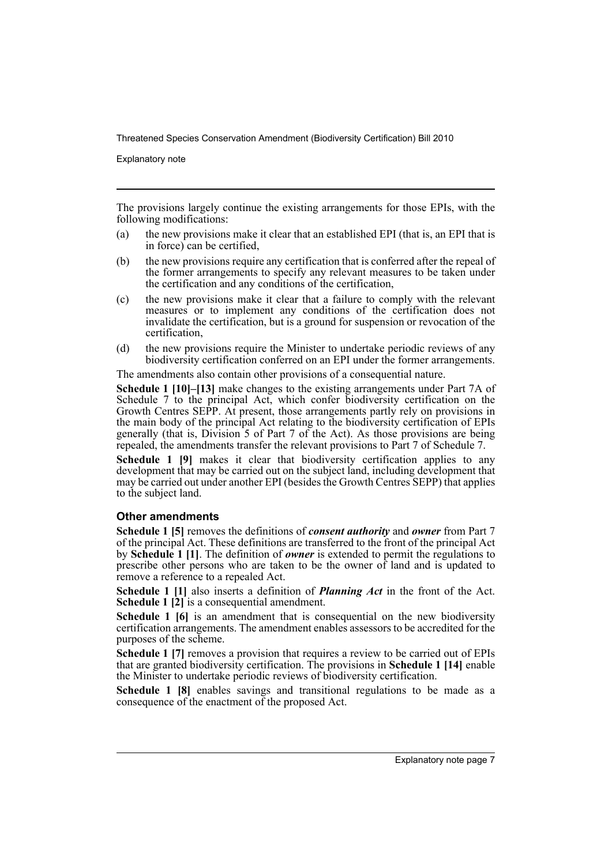Explanatory note

The provisions largely continue the existing arrangements for those EPIs, with the following modifications:

- (a) the new provisions make it clear that an established EPI (that is, an EPI that is in force) can be certified,
- (b) the new provisions require any certification that is conferred after the repeal of the former arrangements to specify any relevant measures to be taken under the certification and any conditions of the certification,
- (c) the new provisions make it clear that a failure to comply with the relevant measures or to implement any conditions of the certification does not invalidate the certification, but is a ground for suspension or revocation of the certification,
- (d) the new provisions require the Minister to undertake periodic reviews of any biodiversity certification conferred on an EPI under the former arrangements.

The amendments also contain other provisions of a consequential nature.

**Schedule 1 [10]–[13]** make changes to the existing arrangements under Part 7A of Schedule 7 to the principal Act, which confer biodiversity certification on the Growth Centres SEPP. At present, those arrangements partly rely on provisions in the main body of the principal Act relating to the biodiversity certification of EPIs generally (that is, Division  $5$  of Part 7 of the Act). As those provisions are being repealed, the amendments transfer the relevant provisions to Part 7 of Schedule 7.

**Schedule 1 [9]** makes it clear that biodiversity certification applies to any development that may be carried out on the subject land, including development that may be carried out under another EPI (besides the Growth Centres SEPP) that applies to the subject land.

# **Other amendments**

**Schedule 1 [5]** removes the definitions of *consent authority* and *owner* from Part 7 of the principal Act. These definitions are transferred to the front of the principal Act by **Schedule 1 [1]**. The definition of *owner* is extended to permit the regulations to prescribe other persons who are taken to be the owner of land and is updated to remove a reference to a repealed Act.

**Schedule 1 [1]** also inserts a definition of *Planning Act* in the front of the Act. **Schedule 1 [2]** is a consequential amendment.

**Schedule 1 [6]** is an amendment that is consequential on the new biodiversity certification arrangements. The amendment enables assessors to be accredited for the purposes of the scheme.

**Schedule 1 [7]** removes a provision that requires a review to be carried out of EPIs that are granted biodiversity certification. The provisions in **Schedule 1 [14]** enable the Minister to undertake periodic reviews of biodiversity certification.

**Schedule 1 [8]** enables savings and transitional regulations to be made as a consequence of the enactment of the proposed Act.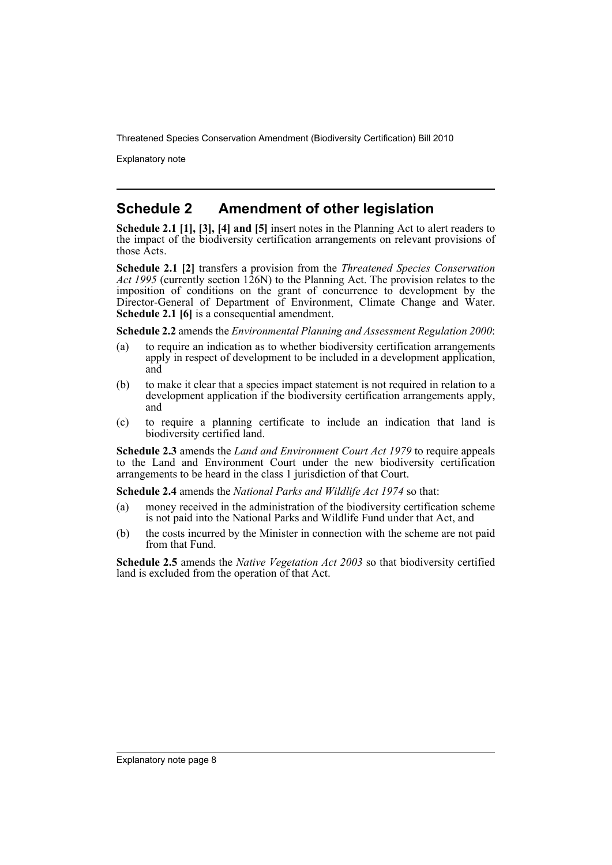Explanatory note

# **Schedule 2 Amendment of other legislation**

**Schedule 2.1 [1], [3], [4] and [5]** insert notes in the Planning Act to alert readers to the impact of the biodiversity certification arrangements on relevant provisions of those Acts.

**Schedule 2.1 [2]** transfers a provision from the *Threatened Species Conservation Act 1995* (currently section 126N) to the Planning Act. The provision relates to the imposition of conditions on the grant of concurrence to development by the Director-General of Department of Environment, Climate Change and Water. **Schedule 2.1 [6]** is a consequential amendment.

**Schedule 2.2** amends the *Environmental Planning and Assessment Regulation 2000*:

- (a) to require an indication as to whether biodiversity certification arrangements apply in respect of development to be included in a development application, and
- (b) to make it clear that a species impact statement is not required in relation to a development application if the biodiversity certification arrangements apply, and
- (c) to require a planning certificate to include an indication that land is biodiversity certified land.

**Schedule 2.3** amends the *Land and Environment Court Act 1979* to require appeals to the Land and Environment Court under the new biodiversity certification arrangements to be heard in the class 1 jurisdiction of that Court.

**Schedule 2.4** amends the *National Parks and Wildlife Act 1974* so that:

- (a) money received in the administration of the biodiversity certification scheme is not paid into the National Parks and Wildlife Fund under that Act, and
- (b) the costs incurred by the Minister in connection with the scheme are not paid from that Fund.

**Schedule 2.5** amends the *Native Vegetation Act 2003* so that biodiversity certified land is excluded from the operation of that Act.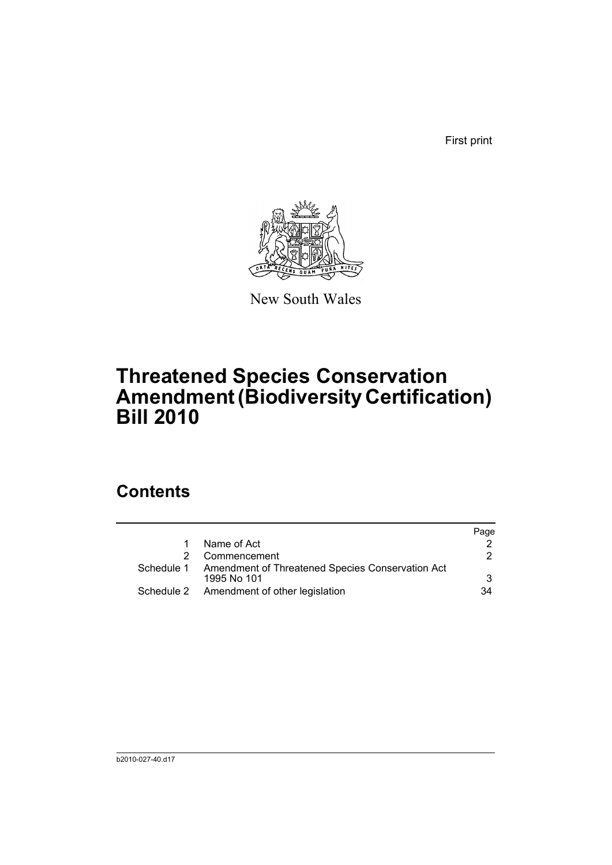First print



New South Wales

# **Threatened Species Conservation Amendment (Biodiversity Certification) Bill 2010**

# **Contents**

|                                                                            | Page |
|----------------------------------------------------------------------------|------|
| Name of Act                                                                |      |
| Commencement                                                               | 2    |
| Schedule 1 Amendment of Threatened Species Conservation Act<br>1995 No 101 | 3    |
| Schedule 2 Amendment of other legislation                                  | 34   |
|                                                                            |      |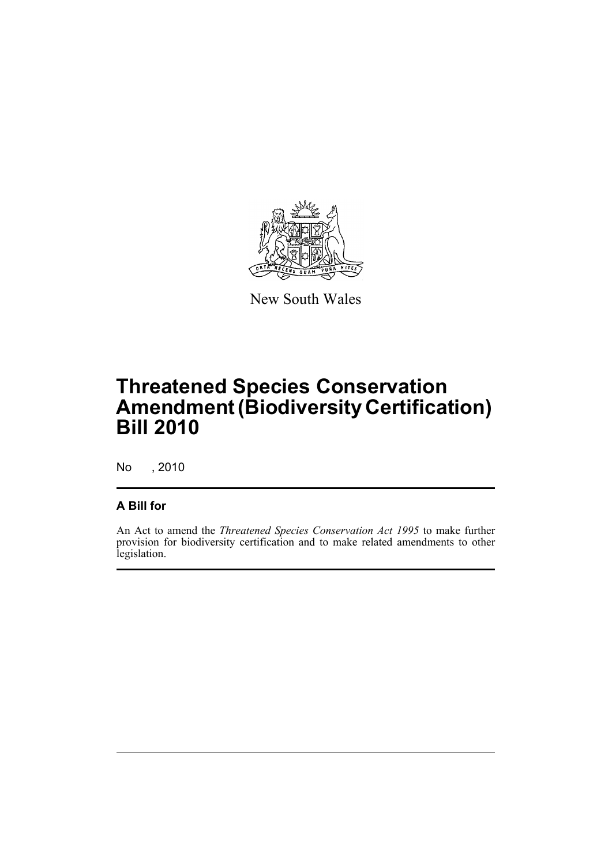

New South Wales

# **Threatened Species Conservation Amendment (Biodiversity Certification) Bill 2010**

No , 2010

# **A Bill for**

An Act to amend the *Threatened Species Conservation Act 1995* to make further provision for biodiversity certification and to make related amendments to other legislation.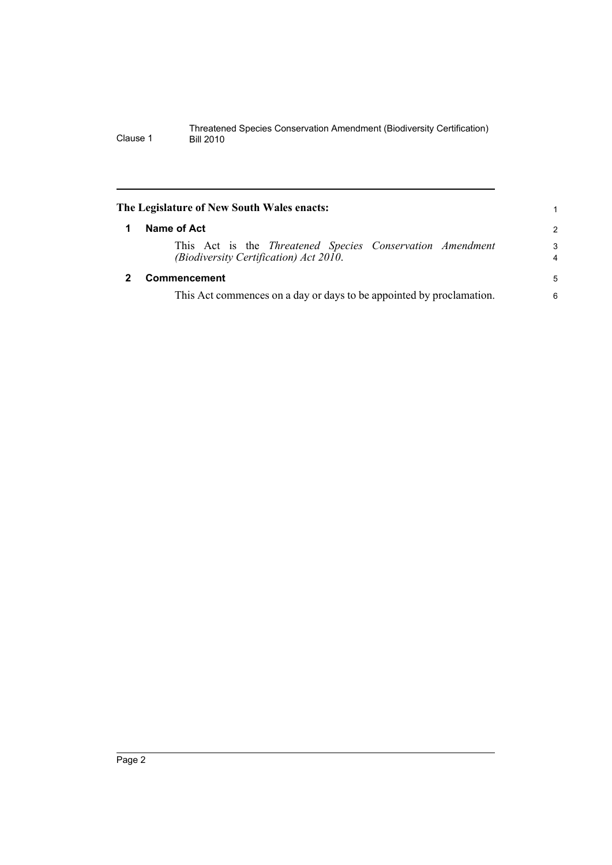<span id="page-11-1"></span><span id="page-11-0"></span>

| The Legislature of New South Wales enacts:                                                          |                     |
|-----------------------------------------------------------------------------------------------------|---------------------|
| Name of Act                                                                                         | $\overline{2}$      |
| This Act is the Threatened Species Conservation Amendment<br>(Biodiversity Certification) Act 2010. | 3<br>$\overline{4}$ |
| <b>Commencement</b>                                                                                 | 5                   |
| This Act commences on a day or days to be appointed by proclamation.                                | 6                   |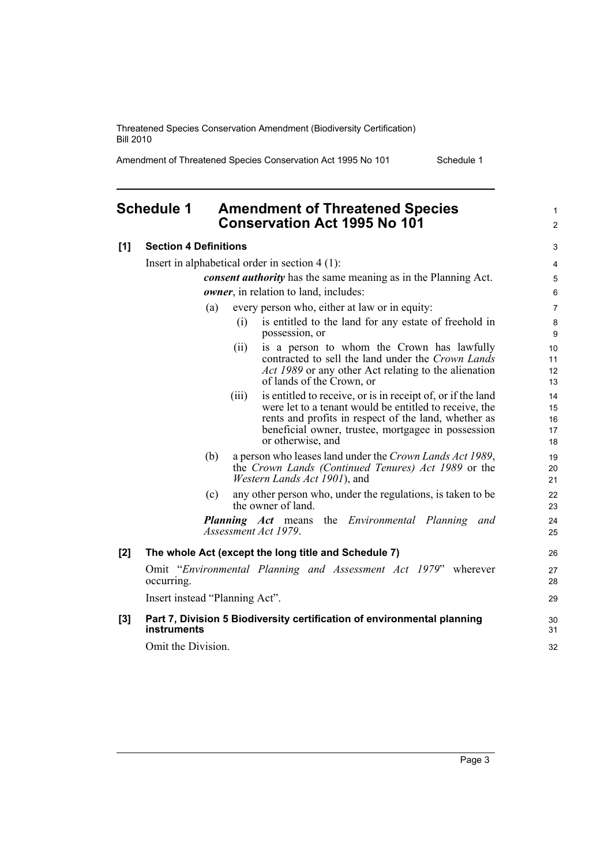Amendment of Threatened Species Conservation Act 1995 No 101 Schedule 1

1 2

# <span id="page-12-0"></span>**Schedule 1 Amendment of Threatened Species Conservation Act 1995 No 101**

| [1]   | <b>Section 4 Definitions</b>                                                                                                   | 3              |
|-------|--------------------------------------------------------------------------------------------------------------------------------|----------------|
|       | Insert in alphabetical order in section $4(1)$ :                                                                               | 4              |
|       | consent authority has the same meaning as in the Planning Act.                                                                 | 5              |
|       | owner, in relation to land, includes:                                                                                          | 6              |
|       | every person who, either at law or in equity:<br>(a)                                                                           | $\overline{7}$ |
|       | is entitled to the land for any estate of freehold in<br>(i)<br>possession, or                                                 | 8<br>9         |
|       | is a person to whom the Crown has lawfully<br>(i)                                                                              | 10             |
|       | contracted to sell the land under the Crown Lands                                                                              | 11             |
|       | Act 1989 or any other Act relating to the alienation<br>of lands of the Crown, or                                              | 12<br>13       |
|       | is entitled to receive, or is in receipt of, or if the land<br>(iii)<br>were let to a tenant would be entitled to receive, the | 14<br>15       |
|       | rents and profits in respect of the land, whether as                                                                           | 16             |
|       | beneficial owner, trustee, mortgagee in possession<br>or otherwise, and                                                        | 17<br>18       |
|       | (b)<br>a person who leases land under the Crown Lands Act 1989,                                                                |                |
|       | the Crown Lands (Continued Tenures) Act 1989 or the                                                                            | 19<br>20       |
|       | <i>Western Lands Act 1901</i> ), and                                                                                           | 21             |
|       | any other person who, under the regulations, is taken to be<br>(c)<br>the owner of land.                                       | 22<br>23       |
|       | the <i>Environmental Planning</i><br><i>Planning Act</i> means<br>and<br>Assessment Act 1979.                                  | 24<br>25       |
| $[2]$ | The whole Act (except the long title and Schedule 7)                                                                           | 26             |
|       | Omit "Environmental Planning and Assessment Act 1979" wherever<br>occurring.                                                   | 27<br>28       |
|       | Insert instead "Planning Act".                                                                                                 | 29             |
| [3]   | Part 7, Division 5 Biodiversity certification of environmental planning<br><b>instruments</b>                                  | 30<br>31       |
|       | Omit the Division.                                                                                                             | 32             |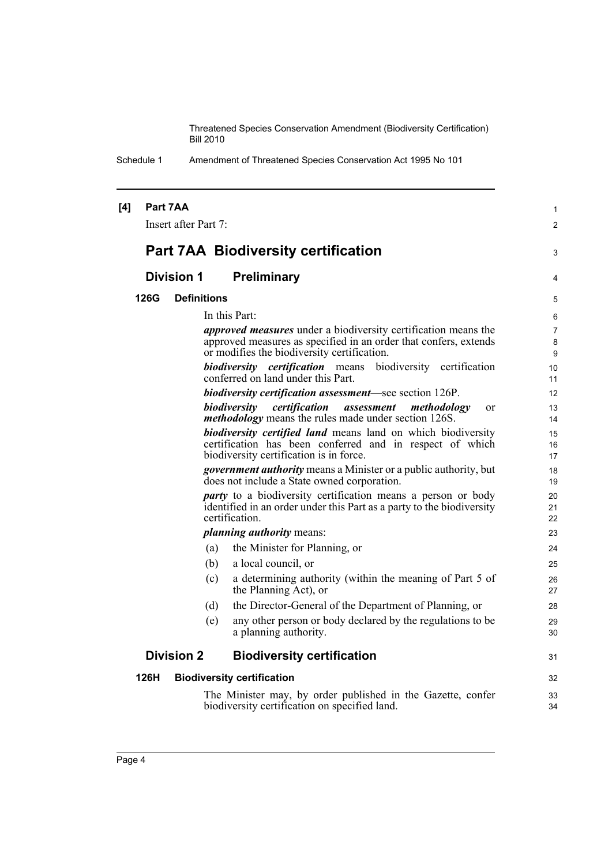Schedule 1 Amendment of Threatened Species Conservation Act 1995 No 101

| [4] |      | Part 7AA<br>Insert after Part 7: |     |                                                                                                                                                                                          | $\mathbf{1}$<br>$\overline{2}$ |
|-----|------|----------------------------------|-----|------------------------------------------------------------------------------------------------------------------------------------------------------------------------------------------|--------------------------------|
|     |      |                                  |     | <b>Part 7AA Biodiversity certification</b>                                                                                                                                               | 3                              |
|     |      | <b>Division 1</b>                |     | <b>Preliminary</b>                                                                                                                                                                       | 4                              |
|     | 126G | <b>Definitions</b>               |     |                                                                                                                                                                                          | 5                              |
|     |      |                                  |     | In this Part:                                                                                                                                                                            | 6                              |
|     |      |                                  |     | <i>approved measures</i> under a biodiversity certification means the<br>approved measures as specified in an order that confers, extends<br>or modifies the biodiversity certification. | $\overline{7}$<br>8<br>9       |
|     |      |                                  |     | biodiversity certification means<br>biodiversity certification<br>conferred on land under this Part                                                                                      | 10<br>11                       |
|     |      |                                  |     | biodiversity certification assessment-see section 126P.                                                                                                                                  | 12                             |
|     |      |                                  |     | biodiversity<br>certification<br>assessment<br>methodology<br><sub>or</sub><br><i>methodology</i> means the rules made under section 126S.                                               | 13<br>14                       |
|     |      |                                  |     | <b>biodiversity certified land</b> means land on which biodiversity<br>certification has been conferred and in respect of which<br>biodiversity certification is in force.               | 15<br>16<br>17                 |
|     |      |                                  |     | government authority means a Minister or a public authority, but<br>does not include a State owned corporation.                                                                          | 18<br>19                       |
|     |      |                                  |     | <i>party</i> to a biodiversity certification means a person or body<br>identified in an order under this Part as a party to the biodiversity<br>certification.                           | 20<br>21<br>22                 |
|     |      |                                  |     | <i>planning authority means:</i>                                                                                                                                                         | 23                             |
|     |      |                                  | (a) | the Minister for Planning, or                                                                                                                                                            | 24                             |
|     |      |                                  | (b) | a local council, or                                                                                                                                                                      | 25                             |
|     |      |                                  | (c) | a determining authority (within the meaning of Part 5 of<br>the Planning Act), or                                                                                                        | 26<br>27                       |
|     |      |                                  | (d) | the Director-General of the Department of Planning, or                                                                                                                                   | 28                             |
|     |      |                                  | (e) | any other person or body declared by the regulations to be<br>a planning authority.                                                                                                      | 29<br>30                       |
|     |      | <b>Division 2</b>                |     | <b>Biodiversity certification</b>                                                                                                                                                        | 31                             |
|     | 126H |                                  |     | <b>Biodiversity certification</b>                                                                                                                                                        | 32                             |
|     |      |                                  |     | The Minister may, by order published in the Gazette, confer<br>biodiversity certification on specified land.                                                                             | 33<br>34                       |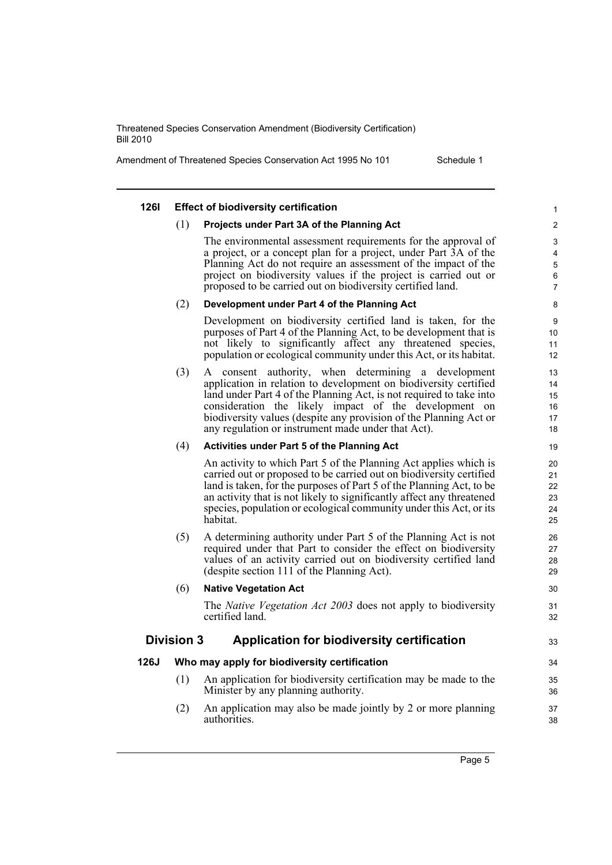Amendment of Threatened Species Conservation Act 1995 No 101 Schedule 1

#### **126I Effect of biodiversity certification** (1) **Projects under Part 3A of the Planning Act** The environmental assessment requirements for the approval of a project, or a concept plan for a project, under Part 3A of the Planning Act do not require an assessment of the impact of the project on biodiversity values if the project is carried out or proposed to be carried out on biodiversity certified land. (2) **Development under Part 4 of the Planning Act** Development on biodiversity certified land is taken, for the purposes of Part 4 of the Planning Act, to be development that is not likely to significantly affect any threatened species, population or ecological community under this Act, or its habitat. (3) A consent authority, when determining a development application in relation to development on biodiversity certified land under Part 4 of the Planning Act, is not required to take into consideration the likely impact of the development on biodiversity values (despite any provision of the Planning Act or any regulation or instrument made under that Act). (4) **Activities under Part 5 of the Planning Act** An activity to which Part 5 of the Planning Act applies which is carried out or proposed to be carried out on biodiversity certified land is taken, for the purposes of Part 5 of the Planning Act, to be an activity that is not likely to significantly affect any threatened species, population or ecological community under this Act, or its habitat. (5) A determining authority under Part 5 of the Planning Act is not required under that Part to consider the effect on biodiversity values of an activity carried out on biodiversity certified land (despite section 111 of the Planning Act). (6) **Native Vegetation Act** The *Native Vegetation Act 2003* does not apply to biodiversity certified land. **Division 3 Application for biodiversity certification 126J Who may apply for biodiversity certification** (1) An application for biodiversity certification may be made to the Minister by any planning authority. (2) An application may also be made jointly by 2 or more planning authorities. 1  $\mathfrak{p}$ 3 4 5 6 7 8  $\overline{Q}$ 10 11 12 13 14 15 16 17 18 19 20 21 22 23  $24$ 25  $26$ 27 28 29 30 31 32 33 34 35 36 37 38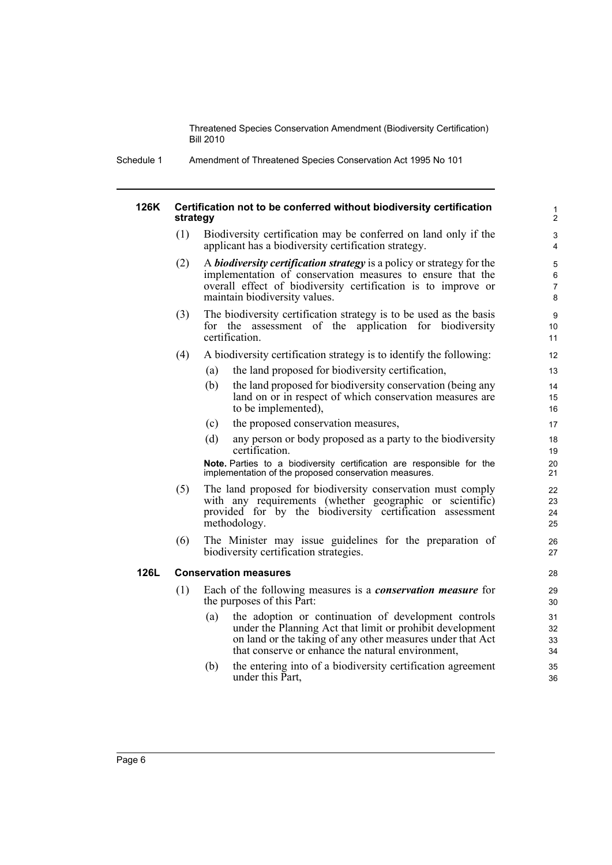Schedule 1 Amendment of Threatened Species Conservation Act 1995 No 101

#### **126K Certification not to be conferred without biodiversity certification strategy**

(1) Biodiversity certification may be conferred on land only if the applicant has a biodiversity certification strategy.

- (2) A *biodiversity certification strategy* is a policy or strategy for the implementation of conservation measures to ensure that the overall effect of biodiversity certification is to improve or maintain biodiversity values.
- (3) The biodiversity certification strategy is to be used as the basis for the assessment of the application for biodiversity certification.
- (4) A biodiversity certification strategy is to identify the following:
	- (a) the land proposed for biodiversity certification,
	- (b) the land proposed for biodiversity conservation (being any land on or in respect of which conservation measures are to be implemented),
	- (c) the proposed conservation measures,
	- (d) any person or body proposed as a party to the biodiversity certification.

**Note.** Parties to a biodiversity certification are responsible for the implementation of the proposed conservation measures.

- (5) The land proposed for biodiversity conservation must comply with any requirements (whether geographic or scientific) provided for by the biodiversity certification assessment methodology.
- (6) The Minister may issue guidelines for the preparation of biodiversity certification strategies.

# **126L Conservation measures**

- (1) Each of the following measures is a *conservation measure* for the purposes of this Part:
	- (a) the adoption or continuation of development controls under the Planning Act that limit or prohibit development on land or the taking of any other measures under that Act that conserve or enhance the natural environment,
	- (b) the entering into of a biodiversity certification agreement under this Part,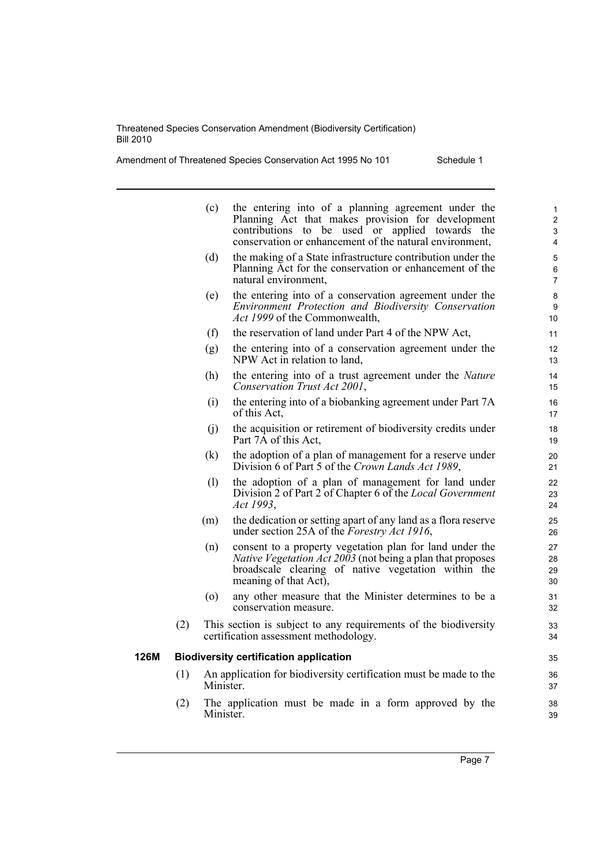Amendment of Threatened Species Conservation Act 1995 No 101 Schedule 1

|      |     | (c)                | the entering into of a planning agreement under the<br>Planning Act that makes provision for development<br>contributions to be used or applied towards the<br>conservation or enhancement of the natural environment, |
|------|-----|--------------------|------------------------------------------------------------------------------------------------------------------------------------------------------------------------------------------------------------------------|
|      |     | (d)                | the making of a State infrastructure contribution under the<br>Planning Act for the conservation or enhancement of the<br>natural environment,                                                                         |
|      |     | (e)                | the entering into of a conservation agreement under the<br>Environment Protection and Biodiversity Conservation<br>Act 1999 of the Commonwealth,                                                                       |
|      |     | (f)                | the reservation of land under Part 4 of the NPW Act,                                                                                                                                                                   |
|      |     | (g)                | the entering into of a conservation agreement under the<br>NPW Act in relation to land,                                                                                                                                |
|      |     | (h)                | the entering into of a trust agreement under the Nature<br>Conservation Trust Act 2001,                                                                                                                                |
|      |     | (i)                | the entering into of a biobanking agreement under Part 7A<br>of this Act,                                                                                                                                              |
|      |     | (j)                | the acquisition or retirement of biodiversity credits under<br>Part 7A of this Act,                                                                                                                                    |
|      |     | (k)                | the adoption of a plan of management for a reserve under<br>Division 6 of Part 5 of the Crown Lands Act 1989,                                                                                                          |
|      |     | (1)                | the adoption of a plan of management for land under<br>Division 2 of Part 2 of Chapter 6 of the Local Government<br>Act 1993,                                                                                          |
|      |     | (m)                | the dedication or setting apart of any land as a flora reserve<br>under section 25A of the Forestry Act 1916,                                                                                                          |
|      |     | (n)                | consent to a property vegetation plan for land under the<br><i>Native Vegetation Act 2003</i> (not being a plan that proposes<br>broadscale clearing of native vegetation within the<br>meaning of that Act),          |
|      |     | $\left( 0 \right)$ | any other measure that the Minister determines to be a<br>conservation measure.                                                                                                                                        |
|      | (2) |                    | This section is subject to any requirements of the biodiversity<br>certification assessment methodology.                                                                                                               |
| 126M |     |                    | <b>Biodiversity certification application</b>                                                                                                                                                                          |
|      | (1) | Minister.          | An application for biodiversity certification must be made to the                                                                                                                                                      |
|      | (2) | Minister.          | The application must be made in a form approved by the                                                                                                                                                                 |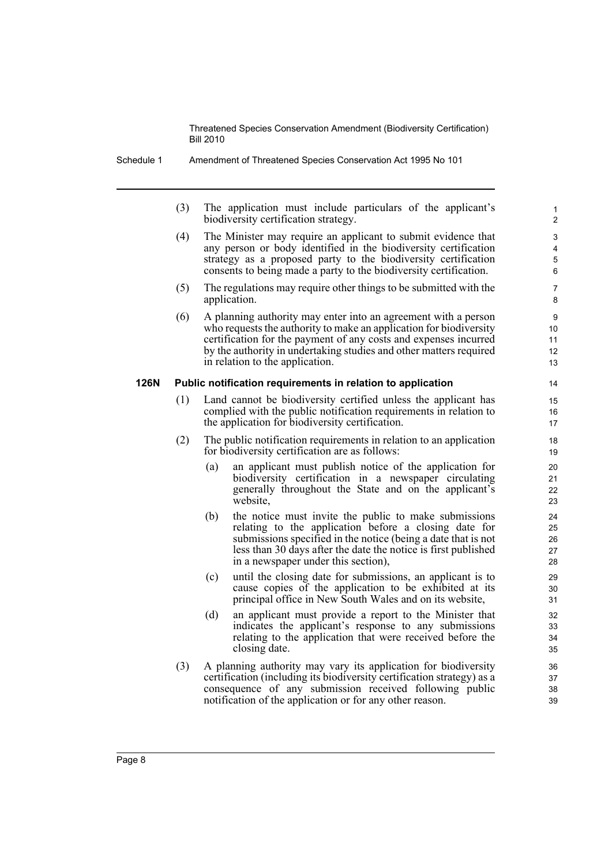Schedule 1 Amendment of Threatened Species Conservation Act 1995 No 101

(3) The application must include particulars of the applicant's biodiversity certification strategy.

- (4) The Minister may require an applicant to submit evidence that any person or body identified in the biodiversity certification strategy as a proposed party to the biodiversity certification consents to being made a party to the biodiversity certification.
- (5) The regulations may require other things to be submitted with the application.
- (6) A planning authority may enter into an agreement with a person who requests the authority to make an application for biodiversity certification for the payment of any costs and expenses incurred by the authority in undertaking studies and other matters required in relation to the application.

#### **126N Public notification requirements in relation to application**

- (1) Land cannot be biodiversity certified unless the applicant has complied with the public notification requirements in relation to the application for biodiversity certification.
- (2) The public notification requirements in relation to an application for biodiversity certification are as follows:
	- (a) an applicant must publish notice of the application for biodiversity certification in a newspaper circulating generally throughout the State and on the applicant's website,
	- (b) the notice must invite the public to make submissions relating to the application before a closing date for submissions specified in the notice (being a date that is not less than 30 days after the date the notice is first published in a newspaper under this section),
	- (c) until the closing date for submissions, an applicant is to cause copies of the application to be exhibited at its principal office in New South Wales and on its website,
	- (d) an applicant must provide a report to the Minister that indicates the applicant's response to any submissions relating to the application that were received before the closing date.
- (3) A planning authority may vary its application for biodiversity certification (including its biodiversity certification strategy) as a consequence of any submission received following public notification of the application or for any other reason.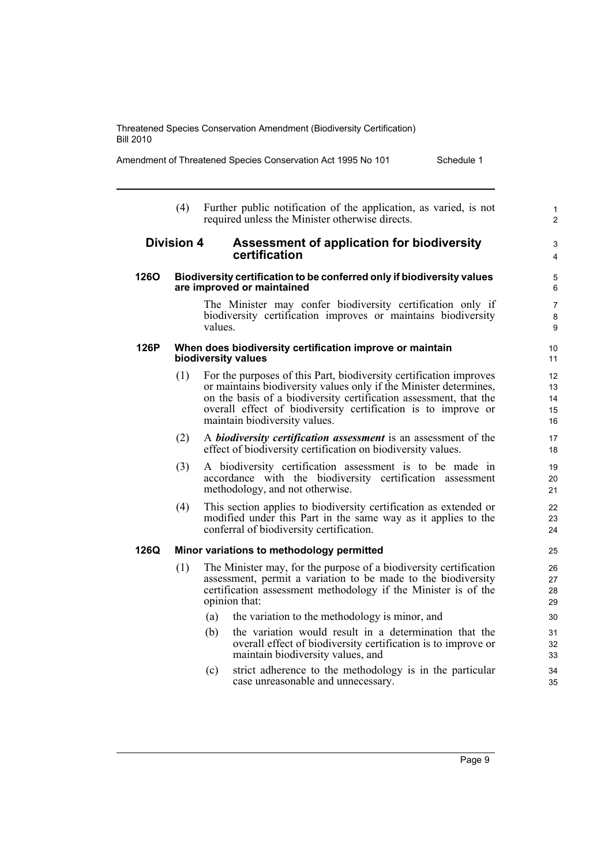Amendment of Threatened Species Conservation Act 1995 No 101 Schedule 1

(4) Further public notification of the application, as varied, is not required unless the Minister otherwise directs.

# **Division 4 Assessment of application for biodiversity certification**

### **126O Biodiversity certification to be conferred only if biodiversity values are improved or maintained**

The Minister may confer biodiversity certification only if biodiversity certification improves or maintains biodiversity values.

### **126P When does biodiversity certification improve or maintain biodiversity values**

- (1) For the purposes of this Part, biodiversity certification improves or maintains biodiversity values only if the Minister determines, on the basis of a biodiversity certification assessment, that the overall effect of biodiversity certification is to improve or maintain biodiversity values.
- (2) A *biodiversity certification assessment* is an assessment of the effect of biodiversity certification on biodiversity values.
- (3) A biodiversity certification assessment is to be made in accordance with the biodiversity certification assessment methodology, and not otherwise.
- (4) This section applies to biodiversity certification as extended or modified under this Part in the same way as it applies to the conferral of biodiversity certification.

# **126Q Minor variations to methodology permitted**

- (1) The Minister may, for the purpose of a biodiversity certification assessment, permit a variation to be made to the biodiversity certification assessment methodology if the Minister is of the opinion that:
	- (a) the variation to the methodology is minor, and
	- (b) the variation would result in a determination that the overall effect of biodiversity certification is to improve or maintain biodiversity values, and
	- (c) strict adherence to the methodology is in the particular case unreasonable and unnecessary.

1  $\overline{2}$ 

3 4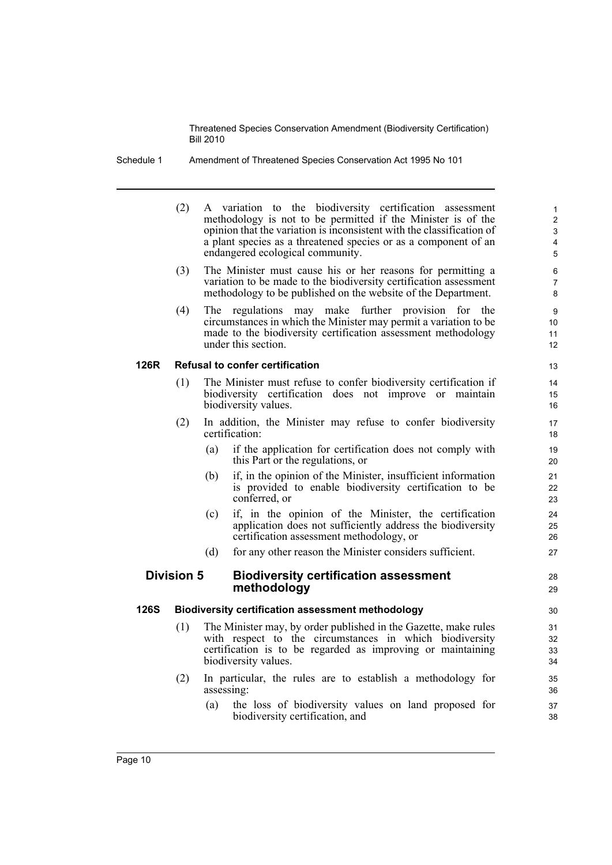Schedule 1 Amendment of Threatened Species Conservation Act 1995 No 101

|             | (2)               |            | A variation to the biodiversity certification assessment<br>methodology is not to be permitted if the Minister is of the<br>opinion that the variation is inconsistent with the classification of<br>a plant species as a threatened species or as a component of an<br>endangered ecological community. | $\mathbf{1}$<br>$\overline{\mathbf{c}}$<br>3<br>4<br>5 |
|-------------|-------------------|------------|----------------------------------------------------------------------------------------------------------------------------------------------------------------------------------------------------------------------------------------------------------------------------------------------------------|--------------------------------------------------------|
|             | (3)               |            | The Minister must cause his or her reasons for permitting a<br>variation to be made to the biodiversity certification assessment<br>methodology to be published on the website of the Department.                                                                                                        | 6<br>$\overline{7}$<br>8                               |
|             | (4)               | <b>The</b> | regulations may make further provision for the<br>circumstances in which the Minister may permit a variation to be<br>made to the biodiversity certification assessment methodology<br>under this section.                                                                                               | 9<br>10<br>11<br>12                                    |
| 126R        |                   |            | <b>Refusal to confer certification</b>                                                                                                                                                                                                                                                                   | 13                                                     |
|             | (1)               |            | The Minister must refuse to confer biodiversity certification if<br>biodiversity certification does not improve or maintain<br>biodiversity values.                                                                                                                                                      | 14<br>15<br>16                                         |
|             | (2)               |            | In addition, the Minister may refuse to confer biodiversity<br>certification:                                                                                                                                                                                                                            | 17<br>18                                               |
|             |                   | (a)        | if the application for certification does not comply with<br>this Part or the regulations, or                                                                                                                                                                                                            | 19<br>20                                               |
|             |                   | (b)        | if, in the opinion of the Minister, insufficient information<br>is provided to enable biodiversity certification to be<br>conferred, or                                                                                                                                                                  | 21<br>22<br>23                                         |
|             |                   | (c)        | if, in the opinion of the Minister, the certification<br>application does not sufficiently address the biodiversity<br>certification assessment methodology, or                                                                                                                                          | 24<br>25<br>26                                         |
|             |                   | (d)        | for any other reason the Minister considers sufficient.                                                                                                                                                                                                                                                  | 27                                                     |
|             | <b>Division 5</b> |            | <b>Biodiversity certification assessment</b><br>methodology                                                                                                                                                                                                                                              | 28<br>29                                               |
| <b>126S</b> |                   |            | <b>Biodiversity certification assessment methodology</b>                                                                                                                                                                                                                                                 | 30                                                     |
|             | (1)               |            | The Minister may, by order published in the Gazette, make rules<br>with respect to the circumstances in which biodiversity<br>certification is to be regarded as improving or maintaining<br>biodiversity values.                                                                                        | 31<br>32<br>33<br>34                                   |
|             | (2)               | assessing: | In particular, the rules are to establish a methodology for                                                                                                                                                                                                                                              | 35<br>36                                               |
|             |                   | (a)        | the loss of biodiversity values on land proposed for<br>biodiversity certification, and                                                                                                                                                                                                                  | 37<br>38                                               |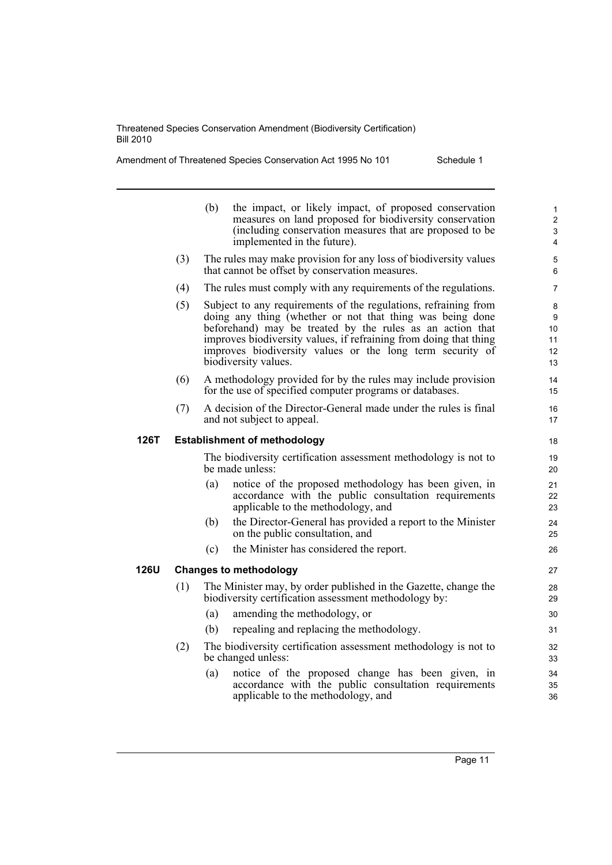**126T** 

**126U Changes to methodology**

Amendment of Threatened Species Conservation Act 1995 No 101 Schedule 1

|     | (b)<br>the impact, or likely impact, of proposed conservation<br>measures on land proposed for biodiversity conservation<br>(including conservation measures that are proposed to be<br>implemented in the future).                                                                                                                                 | $\mathbf{1}$<br>2<br>3<br>4    |
|-----|-----------------------------------------------------------------------------------------------------------------------------------------------------------------------------------------------------------------------------------------------------------------------------------------------------------------------------------------------------|--------------------------------|
| (3) | The rules may make provision for any loss of biodiversity values<br>that cannot be offset by conservation measures.                                                                                                                                                                                                                                 | 5<br>6                         |
| (4) | The rules must comply with any requirements of the regulations.                                                                                                                                                                                                                                                                                     | 7                              |
| (5) | Subject to any requirements of the regulations, refraining from<br>doing any thing (whether or not that thing was being done<br>beforehand) may be treated by the rules as an action that<br>improves biodiversity values, if refraining from doing that thing<br>improves biodiversity values or the long term security of<br>biodiversity values. | 8<br>9<br>10<br>11<br>12<br>13 |
| (6) | A methodology provided for by the rules may include provision<br>for the use of specified computer programs or databases.                                                                                                                                                                                                                           | 14<br>15                       |
| (7) | A decision of the Director-General made under the rules is final<br>and not subject to appeal.                                                                                                                                                                                                                                                      | 16<br>17                       |
|     | <b>Establishment of methodology</b>                                                                                                                                                                                                                                                                                                                 | 18                             |
|     | The biodiversity certification assessment methodology is not to<br>be made unless:                                                                                                                                                                                                                                                                  | 19<br>20                       |
|     | notice of the proposed methodology has been given, in<br>(a)<br>accordance with the public consultation requirements<br>applicable to the methodology, and                                                                                                                                                                                          | 21<br>22<br>23                 |
|     | the Director-General has provided a report to the Minister<br>(b)<br>on the public consultation, and                                                                                                                                                                                                                                                | 24<br>25                       |
|     | the Minister has considered the report.<br>(c)                                                                                                                                                                                                                                                                                                      | 26                             |
|     | <b>Changes to methodology</b>                                                                                                                                                                                                                                                                                                                       | 27                             |
| (1) | The Minister may, by order published in the Gazette, change the<br>biodiversity certification assessment methodology by:                                                                                                                                                                                                                            | 28<br>29                       |
|     | (a)<br>amending the methodology, or                                                                                                                                                                                                                                                                                                                 | 30                             |
|     | repealing and replacing the methodology.<br>(b)                                                                                                                                                                                                                                                                                                     | 31                             |
| (2) | The biodiversity certification assessment methodology is not to<br>be changed unless:                                                                                                                                                                                                                                                               | 32<br>33                       |
|     | notice of the proposed change has been given, in<br>(a)<br>accordance with the public consultation requirements                                                                                                                                                                                                                                     | 34<br>35                       |

applicable to the methodology, and

36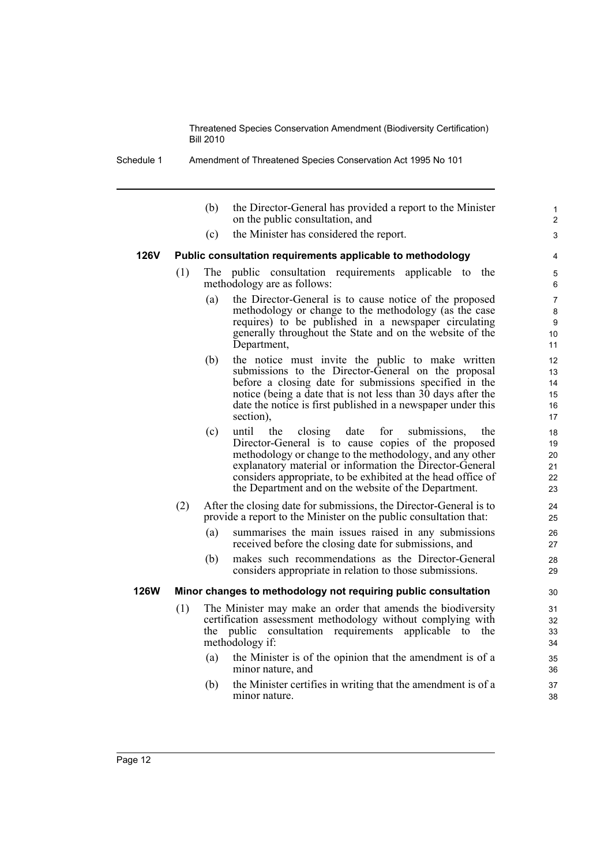Schedule 1 Amendment of Threatened Species Conservation Act 1995 No 101

(b) the Director-General has provided a report to the Minister on the public consultation, and

1 2  $\overline{a}$ 

(c) the Minister has considered the report.

### **126V Public consultation requirements applicable to methodology**

- (1) The public consultation requirements applicable to the methodology are as follows:
	- (a) the Director-General is to cause notice of the proposed methodology or change to the methodology (as the case requires) to be published in a newspaper circulating generally throughout the State and on the website of the Department,
	- (b) the notice must invite the public to make written submissions to the Director-General on the proposal before a closing date for submissions specified in the notice (being a date that is not less than 30 days after the date the notice is first published in a newspaper under this section),
	- (c) until the closing date for submissions, the Director-General is to cause copies of the proposed methodology or change to the methodology, and any other explanatory material or information the Director-General considers appropriate, to be exhibited at the head office of the Department and on the website of the Department.
- (2) After the closing date for submissions, the Director-General is to provide a report to the Minister on the public consultation that:
	- (a) summarises the main issues raised in any submissions received before the closing date for submissions, and
	- (b) makes such recommendations as the Director-General considers appropriate in relation to those submissions.

#### **126W Minor changes to methodology not requiring public consultation**

- (1) The Minister may make an order that amends the biodiversity certification assessment methodology without complying with the public consultation requirements applicable to the methodology if:
	- (a) the Minister is of the opinion that the amendment is of a minor nature, and
	- (b) the Minister certifies in writing that the amendment is of a minor nature.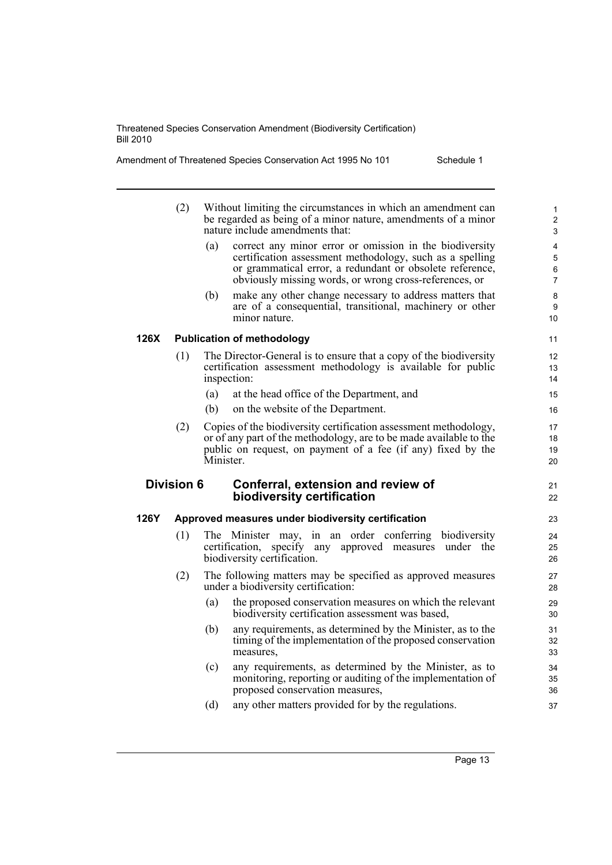| Amendment of Threatened Species Conservation Act 1995 No 101 | Schedule 1 |
|--------------------------------------------------------------|------------|
|--------------------------------------------------------------|------------|

|      | (2)               | Without limiting the circumstances in which an amendment can<br>be regarded as being of a minor nature, amendments of a minor<br>nature include amendments that:                                                                                 | $\mathbf{1}$<br>$\overline{2}$<br>3 |
|------|-------------------|--------------------------------------------------------------------------------------------------------------------------------------------------------------------------------------------------------------------------------------------------|-------------------------------------|
|      |                   | correct any minor error or omission in the biodiversity<br>(a)<br>certification assessment methodology, such as a spelling<br>or grammatical error, a redundant or obsolete reference,<br>obviously missing words, or wrong cross-references, or | 4<br>5<br>6<br>$\overline{7}$       |
|      |                   | (b)<br>make any other change necessary to address matters that<br>are of a consequential, transitional, machinery or other<br>minor nature.                                                                                                      | 8<br>9<br>10 <sup>1</sup>           |
| 126X |                   | <b>Publication of methodology</b>                                                                                                                                                                                                                | 11                                  |
|      | (1)               | The Director-General is to ensure that a copy of the biodiversity<br>certification assessment methodology is available for public<br>inspection:                                                                                                 | 12<br>13<br>14                      |
|      |                   | (a)<br>at the head office of the Department, and                                                                                                                                                                                                 | 15                                  |
|      |                   | on the website of the Department.<br>(b)                                                                                                                                                                                                         | 16                                  |
|      | (2)               | Copies of the biodiversity certification assessment methodology,<br>or of any part of the methodology, are to be made available to the<br>public on request, on payment of a fee (if any) fixed by the<br>Minister.                              | 17<br>18<br>19<br>20                |
|      | <b>Division 6</b> | Conferral, extension and review of<br>biodiversity certification                                                                                                                                                                                 | 21<br>22                            |
| 126Y |                   | Approved measures under biodiversity certification                                                                                                                                                                                               | 23                                  |
|      | (1)               | The Minister may, in an order conferring biodiversity<br>certification,<br>specify<br>any approved measures under the<br>biodiversity certification.                                                                                             | 24<br>25<br>26                      |
|      |                   |                                                                                                                                                                                                                                                  |                                     |
|      | (2)               | The following matters may be specified as approved measures<br>under a biodiversity certification:                                                                                                                                               | 27<br>28                            |
|      |                   | (a)<br>the proposed conservation measures on which the relevant<br>biodiversity certification assessment was based,                                                                                                                              | 29<br>30                            |
|      |                   | any requirements, as determined by the Minister, as to the<br>(b)<br>timing of the implementation of the proposed conservation<br>measures.                                                                                                      | 31<br>32<br>33                      |
|      |                   | any requirements, as determined by the Minister, as to<br>(c)<br>monitoring, reporting or auditing of the implementation of<br>proposed conservation measures,                                                                                   | 34<br>35<br>36                      |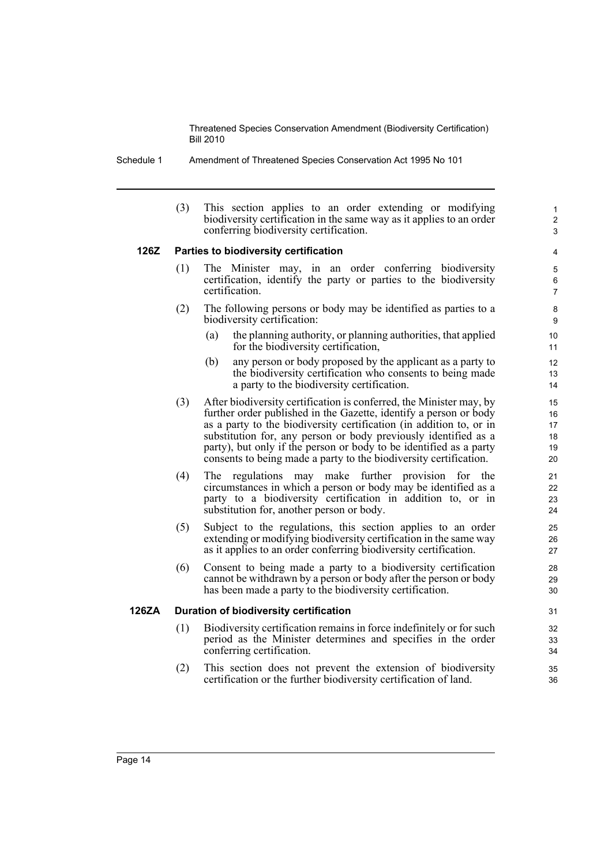Schedule 1 Amendment of Threatened Species Conservation Act 1995 No 101

(3) This section applies to an order extending or modifying biodiversity certification in the same way as it applies to an order conferring biodiversity certification.

1  $\overline{2}$ 3

# **126Z Parties to biodiversity certification**

- (1) The Minister may, in an order conferring biodiversity certification, identify the party or parties to the biodiversity certification.
- (2) The following persons or body may be identified as parties to a biodiversity certification:
	- (a) the planning authority, or planning authorities, that applied for the biodiversity certification,
	- (b) any person or body proposed by the applicant as a party to the biodiversity certification who consents to being made a party to the biodiversity certification.
- (3) After biodiversity certification is conferred, the Minister may, by further order published in the Gazette, identify a person or body as a party to the biodiversity certification (in addition to, or in substitution for, any person or body previously identified as a party), but only if the person or body to be identified as a party consents to being made a party to the biodiversity certification.
- (4) The regulations may make further provision for the circumstances in which a person or body may be identified as a party to a biodiversity certification in addition to, or in substitution for, another person or body.
- (5) Subject to the regulations, this section applies to an order extending or modifying biodiversity certification in the same way as it applies to an order conferring biodiversity certification.
- (6) Consent to being made a party to a biodiversity certification cannot be withdrawn by a person or body after the person or body has been made a party to the biodiversity certification.

# **126ZA Duration of biodiversity certification**

- (1) Biodiversity certification remains in force indefinitely or for such period as the Minister determines and specifies in the order conferring certification.
- (2) This section does not prevent the extension of biodiversity certification or the further biodiversity certification of land.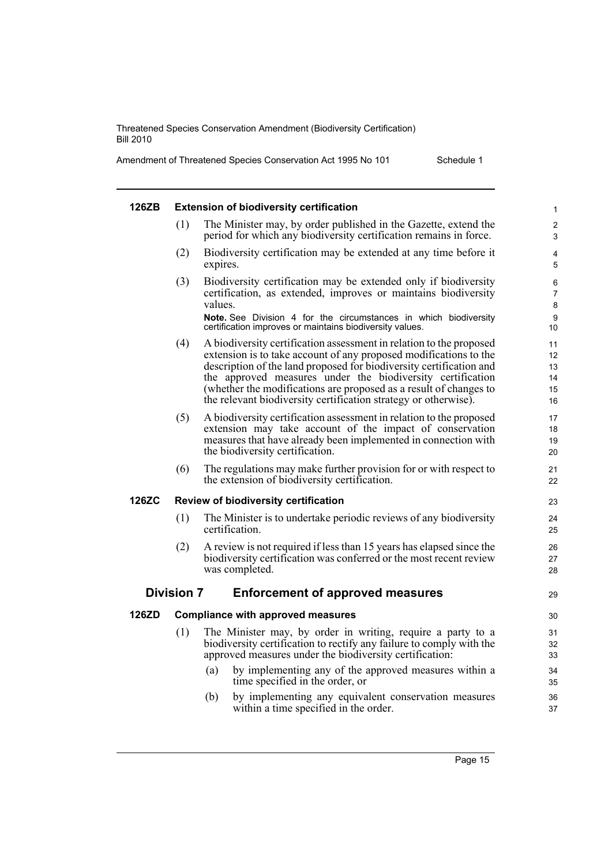Amendment of Threatened Species Conservation Act 1995 No 101 Schedule 1

| 126ZB |                   | <b>Extension of biodiversity certification</b>                                                                                                                                                                                                                                                                                                                                                                        | 1                                |
|-------|-------------------|-----------------------------------------------------------------------------------------------------------------------------------------------------------------------------------------------------------------------------------------------------------------------------------------------------------------------------------------------------------------------------------------------------------------------|----------------------------------|
|       | (1)               | The Minister may, by order published in the Gazette, extend the<br>period for which any biodiversity certification remains in force.                                                                                                                                                                                                                                                                                  | $\overline{c}$<br>3              |
|       | (2)               | Biodiversity certification may be extended at any time before it<br>expires.                                                                                                                                                                                                                                                                                                                                          | 4<br>5                           |
|       | (3)               | Biodiversity certification may be extended only if biodiversity<br>certification, as extended, improves or maintains biodiversity<br>values.                                                                                                                                                                                                                                                                          | 6<br>7<br>8                      |
|       |                   | Note. See Division 4 for the circumstances in which biodiversity<br>certification improves or maintains biodiversity values.                                                                                                                                                                                                                                                                                          | 9<br>10                          |
|       | (4)               | A biodiversity certification assessment in relation to the proposed<br>extension is to take account of any proposed modifications to the<br>description of the land proposed for biodiversity certification and<br>the approved measures under the biodiversity certification<br>(whether the modifications are proposed as a result of changes to<br>the relevant biodiversity certification strategy or otherwise). | 11<br>12<br>13<br>14<br>15<br>16 |
|       | (5)               | A biodiversity certification assessment in relation to the proposed<br>extension may take account of the impact of conservation<br>measures that have already been implemented in connection with<br>the biodiversity certification.                                                                                                                                                                                  | 17<br>18<br>19<br>20             |
|       | (6)               | The regulations may make further provision for or with respect to<br>the extension of biodiversity certification.                                                                                                                                                                                                                                                                                                     | 21<br>22                         |
| 126ZC |                   | Review of biodiversity certification                                                                                                                                                                                                                                                                                                                                                                                  | 23                               |
|       | (1)               | The Minister is to undertake periodic reviews of any biodiversity<br>certification.                                                                                                                                                                                                                                                                                                                                   | 24<br>25                         |
|       | (2)               | A review is not required if less than 15 years has elapsed since the<br>biodiversity certification was conferred or the most recent review<br>was completed.                                                                                                                                                                                                                                                          | 26<br>27<br>28                   |
|       | <b>Division 7</b> | <b>Enforcement of approved measures</b>                                                                                                                                                                                                                                                                                                                                                                               | 29                               |
| 126ZD |                   | <b>Compliance with approved measures</b>                                                                                                                                                                                                                                                                                                                                                                              | 30                               |
|       | (1)               | The Minister may, by order in writing, require a party to a<br>biodiversity certification to rectify any failure to comply with the<br>approved measures under the biodiversity certification:                                                                                                                                                                                                                        | 31<br>32<br>33                   |
|       |                   | by implementing any of the approved measures within a<br>(a)<br>time specified in the order, or                                                                                                                                                                                                                                                                                                                       | 34<br>35                         |
|       |                   | (b)<br>by implementing any equivalent conservation measures<br>within a time specified in the order.                                                                                                                                                                                                                                                                                                                  | 36<br>37                         |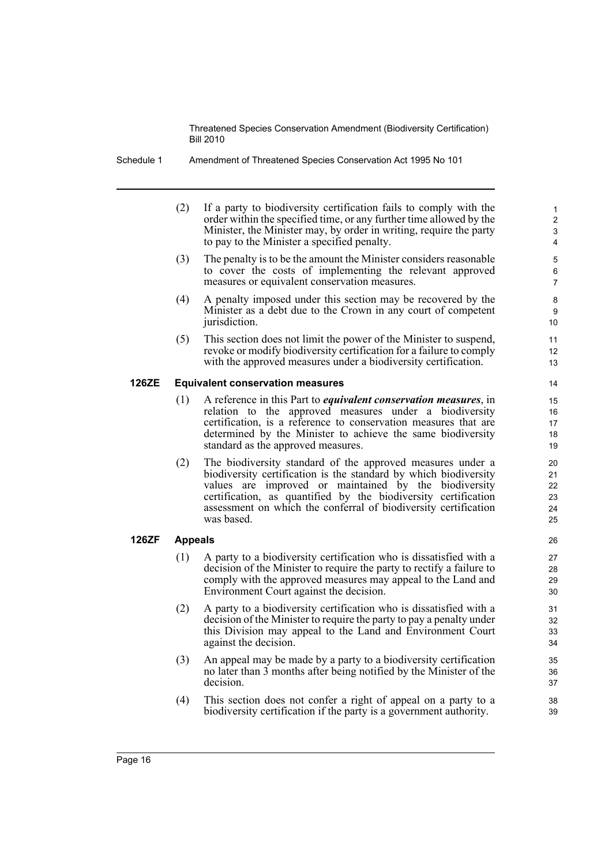(2) If a party to biodiversity certification fails to comply with the order within the specified time, or any further time allowed by the Minister, the Minister may, by order in writing, require the party to pay to the Minister a specified penalty.

- (3) The penalty is to be the amount the Minister considers reasonable to cover the costs of implementing the relevant approved measures or equivalent conservation measures.
- (4) A penalty imposed under this section may be recovered by the Minister as a debt due to the Crown in any court of competent jurisdiction.
- (5) This section does not limit the power of the Minister to suspend, revoke or modify biodiversity certification for a failure to comply with the approved measures under a biodiversity certification.

# **126ZE Equivalent conservation measures**

- (1) A reference in this Part to *equivalent conservation measures*, in relation to the approved measures under a biodiversity certification, is a reference to conservation measures that are determined by the Minister to achieve the same biodiversity standard as the approved measures.
- (2) The biodiversity standard of the approved measures under a biodiversity certification is the standard by which biodiversity values are improved or maintained by the biodiversity certification, as quantified by the biodiversity certification assessment on which the conferral of biodiversity certification was based.

# **126ZF Appeals**

- (1) A party to a biodiversity certification who is dissatisfied with a decision of the Minister to require the party to rectify a failure to comply with the approved measures may appeal to the Land and Environment Court against the decision.
- (2) A party to a biodiversity certification who is dissatisfied with a decision of the Minister to require the party to pay a penalty under this Division may appeal to the Land and Environment Court against the decision.
- (3) An appeal may be made by a party to a biodiversity certification no later than 3 months after being notified by the Minister of the decision.
- (4) This section does not confer a right of appeal on a party to a biodiversity certification if the party is a government authority.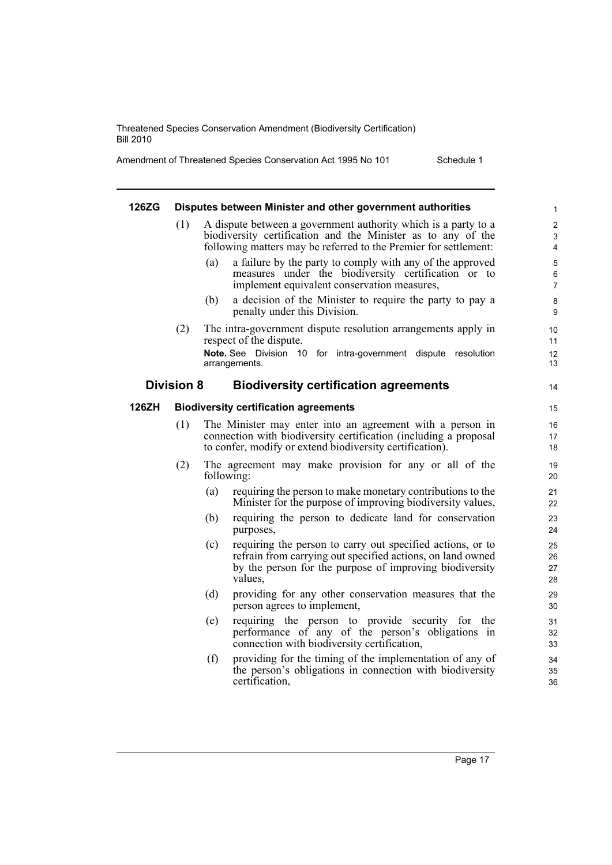Amendment of Threatened Species Conservation Act 1995 No 101 Schedule 1

14

#### **126ZG Disputes between Minister and other government authorities**

- (1) A dispute between a government authority which is a party to a biodiversity certification and the Minister as to any of the following matters may be referred to the Premier for settlement:
	- (a) a failure by the party to comply with any of the approved measures under the biodiversity certification or to implement equivalent conservation measures,
	- (b) a decision of the Minister to require the party to pay a penalty under this Division.
- (2) The intra-government dispute resolution arrangements apply in respect of the dispute. **Note.** See Division 10 for intra-government dispute resolution arrangements.

#### **Division 8 Biodiversity certification agreements**

#### **126ZH Biodiversity certification agreements**

- (1) The Minister may enter into an agreement with a person in connection with biodiversity certification (including a proposal to confer, modify or extend biodiversity certification).
- (2) The agreement may make provision for any or all of the following:
	- (a) requiring the person to make monetary contributions to the Minister for the purpose of improving biodiversity values,
	- (b) requiring the person to dedicate land for conservation purposes,
	- (c) requiring the person to carry out specified actions, or to refrain from carrying out specified actions, on land owned by the person for the purpose of improving biodiversity values,
	- (d) providing for any other conservation measures that the person agrees to implement,
	- (e) requiring the person to provide security for the performance of any of the person's obligations in connection with biodiversity certification,
	- (f) providing for the timing of the implementation of any of the person's obligations in connection with biodiversity certification,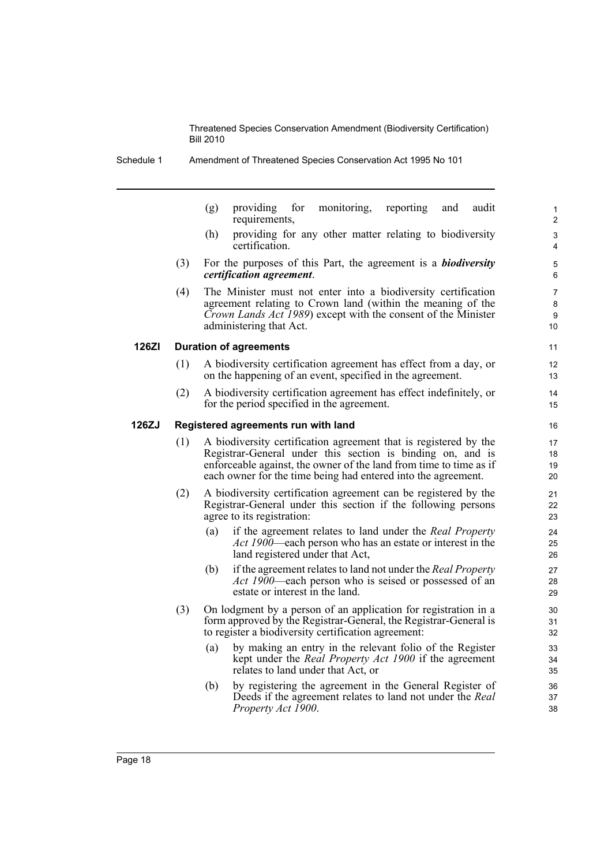(g) providing for monitoring, reporting and audit requirements,

- (h) providing for any other matter relating to biodiversity certification.
- (3) For the purposes of this Part, the agreement is a *biodiversity certification agreement*.
- (4) The Minister must not enter into a biodiversity certification agreement relating to Crown land (within the meaning of the *Crown Lands Act 1989*) except with the consent of the Minister administering that Act.

#### **126ZI Duration of agreements**

- (1) A biodiversity certification agreement has effect from a day, or on the happening of an event, specified in the agreement.
- (2) A biodiversity certification agreement has effect indefinitely, or for the period specified in the agreement.

#### **126ZJ Registered agreements run with land**

- (1) A biodiversity certification agreement that is registered by the Registrar-General under this section is binding on, and is enforceable against, the owner of the land from time to time as if each owner for the time being had entered into the agreement.
- (2) A biodiversity certification agreement can be registered by the Registrar-General under this section if the following persons agree to its registration:
	- (a) if the agreement relates to land under the *Real Property Act 1900*—each person who has an estate or interest in the land registered under that Act,
	- (b) if the agreement relates to land not under the *Real Property Act 1900*—each person who is seised or possessed of an estate or interest in the land.
- (3) On lodgment by a person of an application for registration in a form approved by the Registrar-General, the Registrar-General is to register a biodiversity certification agreement:
	- (a) by making an entry in the relevant folio of the Register kept under the *Real Property Act 1900* if the agreement relates to land under that Act, or
	- (b) by registering the agreement in the General Register of Deeds if the agreement relates to land not under the *Real Property Act 1900*.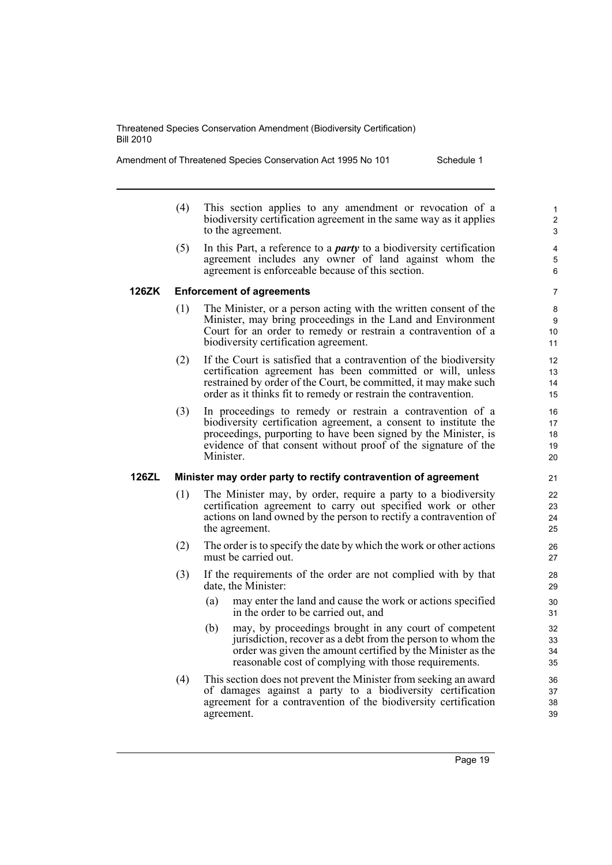Amendment of Threatened Species Conservation Act 1995 No 101 Schedule 1

- (4) This section applies to any amendment or revocation of a biodiversity certification agreement in the same way as it applies to the agreement.
- (5) In this Part, a reference to a *party* to a biodiversity certification agreement includes any owner of land against whom the agreement is enforceable because of this section.

# **126ZK Enforcement of agreements**

- (1) The Minister, or a person acting with the written consent of the Minister, may bring proceedings in the Land and Environment Court for an order to remedy or restrain a contravention of a biodiversity certification agreement.
- (2) If the Court is satisfied that a contravention of the biodiversity certification agreement has been committed or will, unless restrained by order of the Court, be committed, it may make such order as it thinks fit to remedy or restrain the contravention.
- (3) In proceedings to remedy or restrain a contravention of a biodiversity certification agreement, a consent to institute the proceedings, purporting to have been signed by the Minister, is evidence of that consent without proof of the signature of the Minister.

# **126ZL Minister may order party to rectify contravention of agreement**

- (1) The Minister may, by order, require a party to a biodiversity certification agreement to carry out specified work or other actions on land owned by the person to rectify a contravention of the agreement.
- (2) The order is to specify the date by which the work or other actions must be carried out.
- (3) If the requirements of the order are not complied with by that date, the Minister:
	- (a) may enter the land and cause the work or actions specified in the order to be carried out, and
	- (b) may, by proceedings brought in any court of competent jurisdiction, recover as a debt from the person to whom the order was given the amount certified by the Minister as the reasonable cost of complying with those requirements.
- (4) This section does not prevent the Minister from seeking an award of damages against a party to a biodiversity certification agreement for a contravention of the biodiversity certification agreement.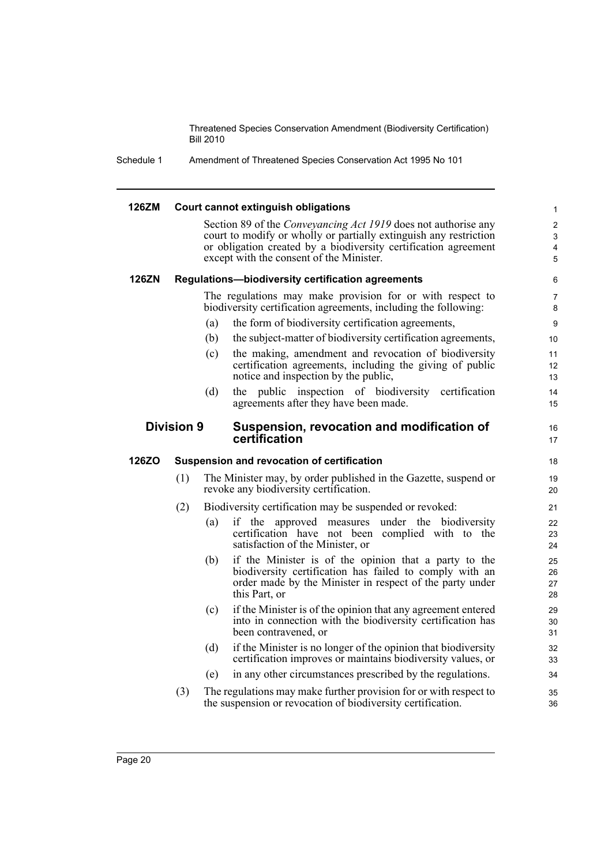Schedule 1 Amendment of Threatened Species Conservation Act 1995 No 101

#### **126ZM Court cannot extinguish obligations** Section 89 of the *Conveyancing Act 1919* does not authorise any court to modify or wholly or partially extinguish any restriction or obligation created by a biodiversity certification agreement except with the consent of the Minister. **126ZN Regulations—biodiversity certification agreements** The regulations may make provision for or with respect to biodiversity certification agreements, including the following: (a) the form of biodiversity certification agreements, (b) the subject-matter of biodiversity certification agreements, (c) the making, amendment and revocation of biodiversity certification agreements, including the giving of public notice and inspection by the public, (d) the public inspection of biodiversity certification agreements after they have been made. **Division 9 Suspension, revocation and modification of certification 126ZO Suspension and revocation of certification** (1) The Minister may, by order published in the Gazette, suspend or revoke any biodiversity certification. (2) Biodiversity certification may be suspended or revoked: (a) if the approved measures under the biodiversity certification have not been complied with to the satisfaction of the Minister, or (b) if the Minister is of the opinion that a party to the biodiversity certification has failed to comply with an order made by the Minister in respect of the party under this Part, or (c) if the Minister is of the opinion that any agreement entered into in connection with the biodiversity certification has been contravened, or (d) if the Minister is no longer of the opinion that biodiversity certification improves or maintains biodiversity values, or (e) in any other circumstances prescribed by the regulations. (3) The regulations may make further provision for or with respect to the suspension or revocation of biodiversity certification. 1 2 3 4 5 6 7 8 9 10 11 12 13 14 15 16 17 18 19 20 21 22 23 24 25  $26$ 27 28 29 30 31 32 33 34 35 36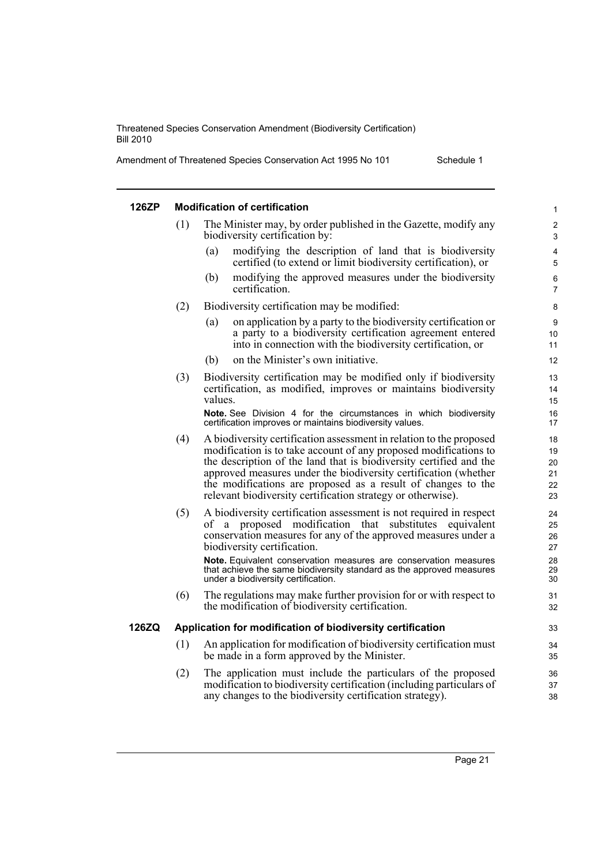Amendment of Threatened Species Conservation Act 1995 No 101 Schedule 1

| 126ZP |     | <b>Modification of certification</b>                                                                                                                                                                                                                                                                                                                                                                            | $\mathbf{1}$                     |
|-------|-----|-----------------------------------------------------------------------------------------------------------------------------------------------------------------------------------------------------------------------------------------------------------------------------------------------------------------------------------------------------------------------------------------------------------------|----------------------------------|
|       | (1) | The Minister may, by order published in the Gazette, modify any<br>biodiversity certification by:                                                                                                                                                                                                                                                                                                               | $\overline{2}$<br>3              |
|       |     | (a)<br>modifying the description of land that is biodiversity<br>certified (to extend or limit biodiversity certification), or                                                                                                                                                                                                                                                                                  | 4<br>5                           |
|       |     | modifying the approved measures under the biodiversity<br>(b)<br>certification.                                                                                                                                                                                                                                                                                                                                 | 6<br>7                           |
|       | (2) | Biodiversity certification may be modified:                                                                                                                                                                                                                                                                                                                                                                     | 8                                |
|       |     | on application by a party to the biodiversity certification or<br>(a)<br>a party to a biodiversity certification agreement entered<br>into in connection with the biodiversity certification, or                                                                                                                                                                                                                | 9<br>10<br>11                    |
|       |     | on the Minister's own initiative.<br>(b)                                                                                                                                                                                                                                                                                                                                                                        | 12                               |
|       | (3) | Biodiversity certification may be modified only if biodiversity<br>certification, as modified, improves or maintains biodiversity<br>values.                                                                                                                                                                                                                                                                    | 13<br>14<br>15                   |
|       |     | Note. See Division 4 for the circumstances in which biodiversity<br>certification improves or maintains biodiversity values.                                                                                                                                                                                                                                                                                    | 16<br>17                         |
|       | (4) | A biodiversity certification assessment in relation to the proposed<br>modification is to take account of any proposed modifications to<br>the description of the land that is biodiversity certified and the<br>approved measures under the biodiversity certification (whether<br>the modifications are proposed as a result of changes to the<br>relevant biodiversity certification strategy or otherwise). | 18<br>19<br>20<br>21<br>22<br>23 |
|       | (5) | A biodiversity certification assessment is not required in respect<br>of a proposed modification<br>that<br>substitutes<br>equivalent<br>conservation measures for any of the approved measures under a<br>biodiversity certification.                                                                                                                                                                          | 24<br>25<br>26<br>27             |
|       |     | Note. Equivalent conservation measures are conservation measures<br>that achieve the same biodiversity standard as the approved measures<br>under a biodiversity certification.                                                                                                                                                                                                                                 | 28<br>29<br>30                   |
|       | (6) | The regulations may make further provision for or with respect to<br>the modification of biodiversity certification.                                                                                                                                                                                                                                                                                            | 31<br>32                         |
| 126ZQ |     | Application for modification of biodiversity certification                                                                                                                                                                                                                                                                                                                                                      | 33                               |
|       | (1) | An application for modification of biodiversity certification must<br>be made in a form approved by the Minister.                                                                                                                                                                                                                                                                                               | 34<br>35                         |
|       | (2) | The application must include the particulars of the proposed<br>modification to biodiversity certification (including particulars of<br>any changes to the biodiversity certification strategy).                                                                                                                                                                                                                | 36<br>37<br>38                   |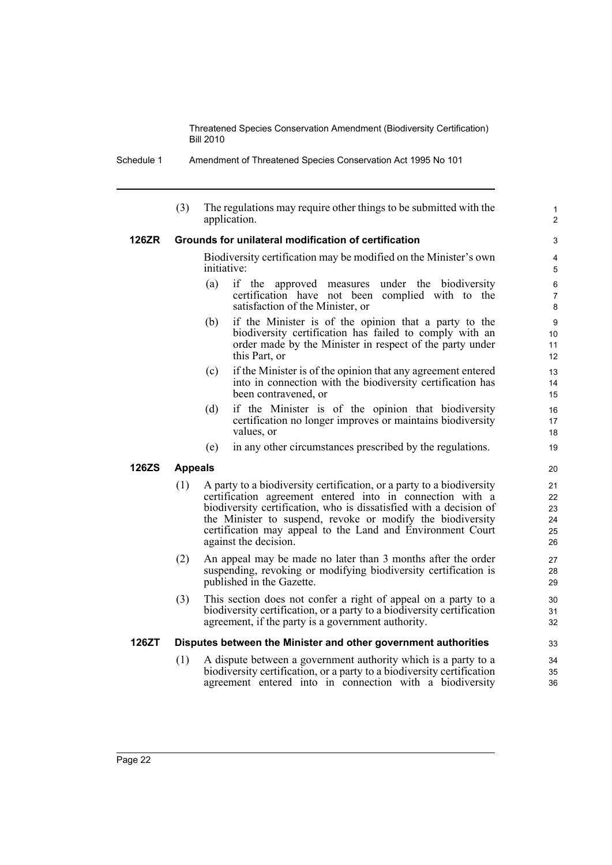Schedule 1 Amendment of Threatened Species Conservation Act 1995 No 101

(3) The regulations may require other things to be submitted with the application. **126ZR Grounds for unilateral modification of certification** Biodiversity certification may be modified on the Minister's own initiative: (a) if the approved measures under the biodiversity certification have not been complied with to the satisfaction of the Minister, or (b) if the Minister is of the opinion that a party to the biodiversity certification has failed to comply with an order made by the Minister in respect of the party under this Part, or (c) if the Minister is of the opinion that any agreement entered into in connection with the biodiversity certification has been contravened, or (d) if the Minister is of the opinion that biodiversity certification no longer improves or maintains biodiversity values, or (e) in any other circumstances prescribed by the regulations. **126ZS Appeals** (1) A party to a biodiversity certification, or a party to a biodiversity certification agreement entered into in connection with a biodiversity certification, who is dissatisfied with a decision of the Minister to suspend, revoke or modify the biodiversity certification may appeal to the Land and Environment Court against the decision. (2) An appeal may be made no later than 3 months after the order suspending, revoking or modifying biodiversity certification is published in the Gazette. (3) This section does not confer a right of appeal on a party to a biodiversity certification, or a party to a biodiversity certification agreement, if the party is a government authority. **126ZT Disputes between the Minister and other government authorities** (1) A dispute between a government authority which is a party to a biodiversity certification, or a party to a biodiversity certification agreement entered into in connection with a biodiversity 1  $\overline{2}$ 3 4 5 6 7 8 9 10 11 12 13 14 15 16 17 18 19 20 21 22 23 24 25 26 27 28 29 30 31 32 33 34 35 36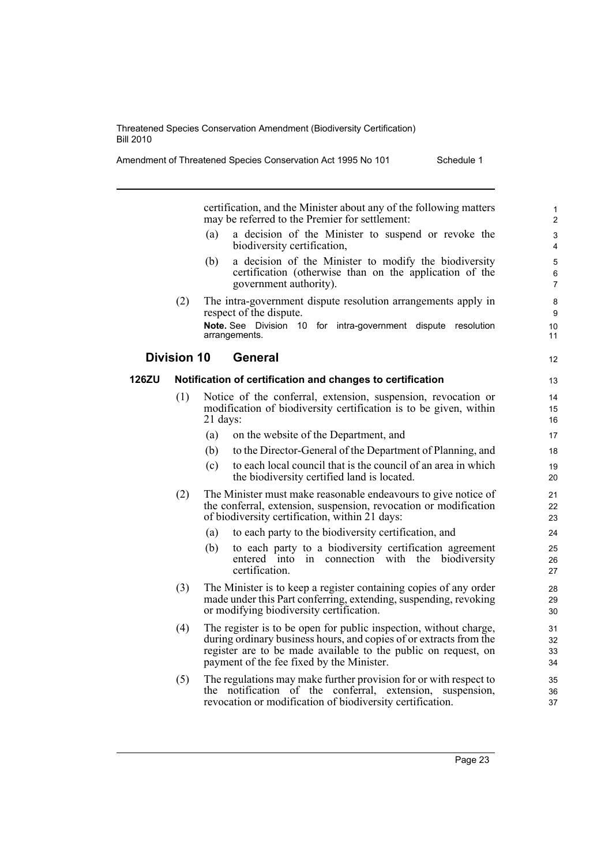| Amendment of Threatened Species Conservation Act 1995 No 101 | Schedule 1 |
|--------------------------------------------------------------|------------|
|--------------------------------------------------------------|------------|

certification, and the Minister about any of the following matters may be referred to the Premier for settlement:

- (a) a decision of the Minister to suspend or revoke the biodiversity certification,
- (b) a decision of the Minister to modify the biodiversity certification (otherwise than on the application of the government authority).
- (2) The intra-government dispute resolution arrangements apply in respect of the dispute. **Note.** See Division 10 for intra-government dispute resolution arrangements.

# **Division 10 General**

# **126ZU Notification of certification and changes to certification**

- (1) Notice of the conferral, extension, suspension, revocation or modification of biodiversity certification is to be given, within 21 days:
	- (a) on the website of the Department, and
	- (b) to the Director-General of the Department of Planning, and
	- (c) to each local council that is the council of an area in which the biodiversity certified land is located.
- (2) The Minister must make reasonable endeavours to give notice of the conferral, extension, suspension, revocation or modification of biodiversity certification, within 21 days:
	- (a) to each party to the biodiversity certification, and
	- (b) to each party to a biodiversity certification agreement entered into in connection with the biodiversity certification.
- (3) The Minister is to keep a register containing copies of any order made under this Part conferring, extending, suspending, revoking or modifying biodiversity certification.
- (4) The register is to be open for public inspection, without charge, during ordinary business hours, and copies of or extracts from the register are to be made available to the public on request, on payment of the fee fixed by the Minister.
- (5) The regulations may make further provision for or with respect to the notification of the conferral, extension, suspension, revocation or modification of biodiversity certification.

12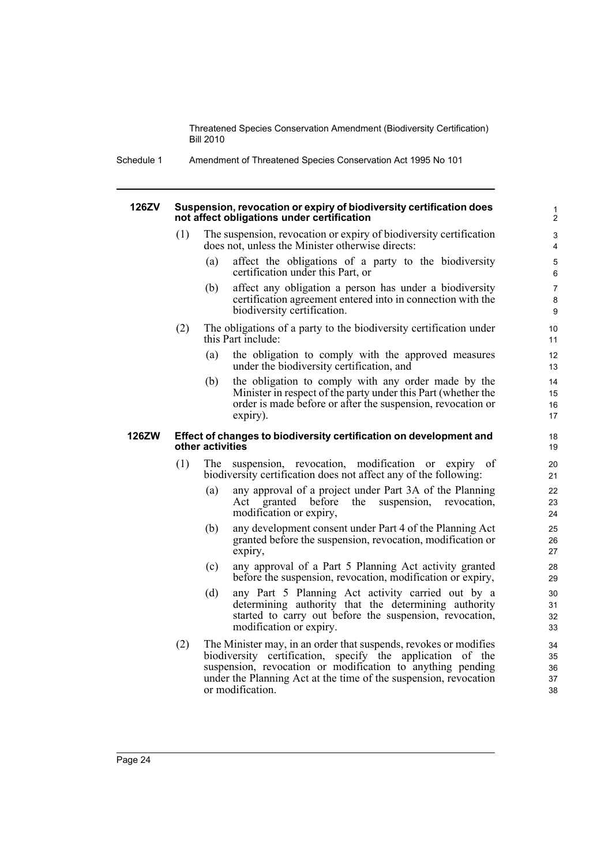Schedule 1 Amendment of Threatened Species Conservation Act 1995 No 101

#### **126ZV Suspension, revocation or expiry of biodiversity certification does not affect obligations under certification**

- (1) The suspension, revocation or expiry of biodiversity certification does not, unless the Minister otherwise directs:
	- (a) affect the obligations of a party to the biodiversity certification under this Part, or

- (b) affect any obligation a person has under a biodiversity certification agreement entered into in connection with the biodiversity certification.
- (2) The obligations of a party to the biodiversity certification under this Part include:
	- (a) the obligation to comply with the approved measures under the biodiversity certification, and
	- (b) the obligation to comply with any order made by the Minister in respect of the party under this Part (whether the order is made before or after the suspension, revocation or expiry).

#### **126ZW Effect of changes to biodiversity certification on development and other activities**

- (1) The suspension, revocation, modification or expiry of biodiversity certification does not affect any of the following:
	- (a) any approval of a project under Part 3A of the Planning Act granted before the suspension, revocation, modification or expiry,
	- (b) any development consent under Part 4 of the Planning Act granted before the suspension, revocation, modification or expiry,
	- (c) any approval of a Part 5 Planning Act activity granted before the suspension, revocation, modification or expiry,
	- (d) any Part 5 Planning Act activity carried out by a determining authority that the determining authority started to carry out before the suspension, revocation, modification or expiry.
- (2) The Minister may, in an order that suspends, revokes or modifies biodiversity certification, specify the application of the suspension, revocation or modification to anything pending under the Planning Act at the time of the suspension, revocation or modification.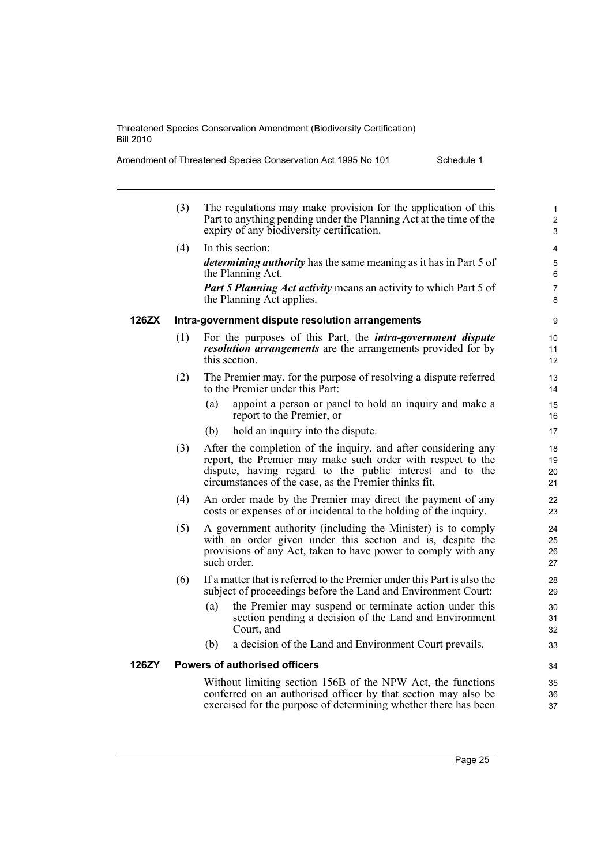| Amendment of Threatened Species Conservation Act 1995 No 101 | Schedule 1 |
|--------------------------------------------------------------|------------|
|--------------------------------------------------------------|------------|

|       | (3) | The regulations may make provision for the application of this<br>Part to anything pending under the Planning Act at the time of the<br>expiry of any biodiversity certification.                                                                  | $\mathbf{1}$<br>$\overline{2}$<br>3 |
|-------|-----|----------------------------------------------------------------------------------------------------------------------------------------------------------------------------------------------------------------------------------------------------|-------------------------------------|
|       | (4) | In this section:<br><i>determining authority</i> has the same meaning as it has in Part 5 of                                                                                                                                                       | 4<br>5                              |
|       |     | the Planning Act.                                                                                                                                                                                                                                  | 6                                   |
|       |     | <b>Part 5 Planning Act activity means an activity to which Part 5 of</b><br>the Planning Act applies.                                                                                                                                              | 7<br>8                              |
| 126ZX |     | Intra-government dispute resolution arrangements                                                                                                                                                                                                   | 9                                   |
|       | (1) | For the purposes of this Part, the <i>intra-government dispute</i><br><i>resolution arrangements</i> are the arrangements provided for by<br>this section.                                                                                         | 10<br>11<br>12                      |
|       | (2) | The Premier may, for the purpose of resolving a dispute referred<br>to the Premier under this Part:                                                                                                                                                | 13<br>14                            |
|       |     | appoint a person or panel to hold an inquiry and make a<br>(a)<br>report to the Premier, or                                                                                                                                                        | 15<br>16                            |
|       |     | (b)<br>hold an inquiry into the dispute.                                                                                                                                                                                                           | 17                                  |
|       | (3) | After the completion of the inquiry, and after considering any<br>report, the Premier may make such order with respect to the<br>dispute, having regard to the public interest and to the<br>circumstances of the case, as the Premier thinks fit. | 18<br>19<br>20<br>21                |
|       | (4) | An order made by the Premier may direct the payment of any<br>costs or expenses of or incidental to the holding of the inquiry.                                                                                                                    | 22<br>23                            |
|       | (5) | A government authority (including the Minister) is to comply<br>with an order given under this section and is, despite the<br>provisions of any Act, taken to have power to comply with any<br>such order.                                         | 24<br>25<br>26<br>27                |
|       | (6) | If a matter that is referred to the Premier under this Part is also the<br>subject of proceedings before the Land and Environment Court:                                                                                                           | 28<br>29                            |
|       |     | the Premier may suspend or terminate action under this<br>(a)<br>section pending a decision of the Land and Environment<br>Court, and                                                                                                              | 30<br>31<br>32                      |
|       |     | a decision of the Land and Environment Court prevails.<br>(b)                                                                                                                                                                                      | 33                                  |
| 126ZY |     | <b>Powers of authorised officers</b>                                                                                                                                                                                                               | 34                                  |
|       |     | Without limiting section 156B of the NPW Act, the functions<br>conferred on an authorised officer by that section may also be<br>exercised for the purpose of determining whether there has been                                                   | 35<br>36<br>37                      |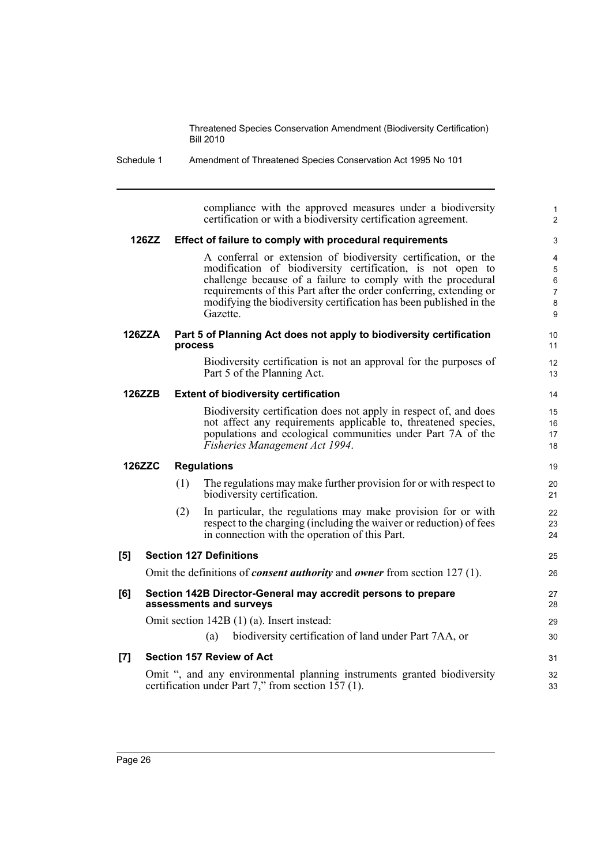Schedule 1 Amendment of Threatened Species Conservation Act 1995 No 101

compliance with the approved measures under a biodiversity certification or with a biodiversity certification agreement. **126ZZ Effect of failure to comply with procedural requirements** A conferral or extension of biodiversity certification, or the modification of biodiversity certification, is not open to challenge because of a failure to comply with the procedural requirements of this Part after the order conferring, extending or modifying the biodiversity certification has been published in the Gazette. **126ZZA Part 5 of Planning Act does not apply to biodiversity certification process** Biodiversity certification is not an approval for the purposes of Part 5 of the Planning Act. **126ZZB Extent of biodiversity certification** Biodiversity certification does not apply in respect of, and does not affect any requirements applicable to, threatened species, populations and ecological communities under Part 7A of the *Fisheries Management Act 1994*. **126ZZC Regulations** (1) The regulations may make further provision for or with respect to biodiversity certification. (2) In particular, the regulations may make provision for or with respect to the charging (including the waiver or reduction) of fees in connection with the operation of this Part. **[5] Section 127 Definitions** Omit the definitions of *consent authority* and *owner* from section 127 (1). **[6] Section 142B Director-General may accredit persons to prepare assessments and surveys** Omit section 142B (1) (a). Insert instead: (a) biodiversity certification of land under Part 7AA, or **[7] Section 157 Review of Act** Omit ", and any environmental planning instruments granted biodiversity certification under Part 7," from section 157 (1). 1  $\overline{2}$ 3 4 5 6 7 8 9 10 11 12 13 14 15 16 17 18 19 20 21  $22$ 23 24 25 26 27 28 29 30 31 32 33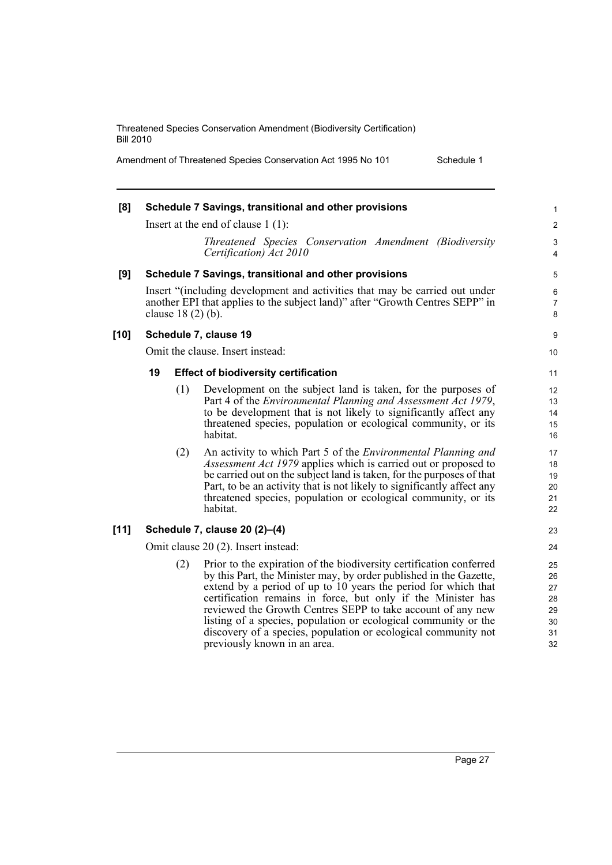Amendment of Threatened Species Conservation Act 1995 No 101 Schedule 1

| [8]    |                                      | Schedule 7 Savings, transitional and other provisions                                                                                                                                                                                                                                                                                                                                                                                                                                                           | 1                                            |  |
|--------|--------------------------------------|-----------------------------------------------------------------------------------------------------------------------------------------------------------------------------------------------------------------------------------------------------------------------------------------------------------------------------------------------------------------------------------------------------------------------------------------------------------------------------------------------------------------|----------------------------------------------|--|
|        | Insert at the end of clause $1(1)$ : |                                                                                                                                                                                                                                                                                                                                                                                                                                                                                                                 |                                              |  |
|        |                                      | Threatened Species Conservation Amendment (Biodiversity<br>Certification) Act 2010                                                                                                                                                                                                                                                                                                                                                                                                                              | 3<br>4                                       |  |
| [9]    |                                      | Schedule 7 Savings, transitional and other provisions                                                                                                                                                                                                                                                                                                                                                                                                                                                           | 5                                            |  |
|        | clause $18(2)$ (b).                  | Insert "(including development and activities that may be carried out under<br>another EPI that applies to the subject land)" after "Growth Centres SEPP" in                                                                                                                                                                                                                                                                                                                                                    | 6<br>7<br>8                                  |  |
| $[10]$ |                                      | Schedule 7, clause 19                                                                                                                                                                                                                                                                                                                                                                                                                                                                                           | 9                                            |  |
|        |                                      | Omit the clause. Insert instead:                                                                                                                                                                                                                                                                                                                                                                                                                                                                                | 10                                           |  |
|        | 19                                   | <b>Effect of biodiversity certification</b>                                                                                                                                                                                                                                                                                                                                                                                                                                                                     | 11                                           |  |
|        | (1)                                  | Development on the subject land is taken, for the purposes of<br>Part 4 of the <i>Environmental Planning and Assessment Act 1979</i> ,<br>to be development that is not likely to significantly affect any<br>threatened species, population or ecological community, or its<br>habitat.                                                                                                                                                                                                                        | 12<br>13<br>14<br>15<br>16                   |  |
|        | (2)                                  | An activity to which Part 5 of the <i>Environmental Planning and</i><br>Assessment Act 1979 applies which is carried out or proposed to<br>be carried out on the subject land is taken, for the purposes of that<br>Part, to be an activity that is not likely to significantly affect any<br>threatened species, population or ecological community, or its<br>habitat.                                                                                                                                        | 17<br>18<br>19<br>20<br>21<br>22             |  |
| $[11]$ |                                      | Schedule 7, clause 20 (2)-(4)                                                                                                                                                                                                                                                                                                                                                                                                                                                                                   | 23                                           |  |
|        | Omit clause 20 (2). Insert instead:  |                                                                                                                                                                                                                                                                                                                                                                                                                                                                                                                 |                                              |  |
|        | (2)                                  | Prior to the expiration of the biodiversity certification conferred<br>by this Part, the Minister may, by order published in the Gazette,<br>extend by a period of up to 10 years the period for which that<br>certification remains in force, but only if the Minister has<br>reviewed the Growth Centres SEPP to take account of any new<br>listing of a species, population or ecological community or the<br>discovery of a species, population or ecological community not<br>previously known in an area. | 25<br>26<br>27<br>28<br>29<br>30<br>31<br>32 |  |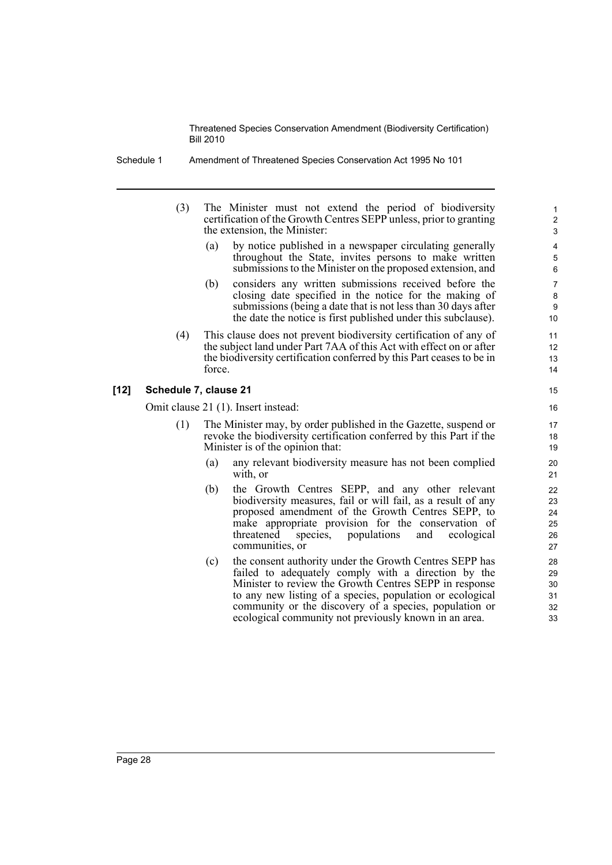Schedule 1 Amendment of Threatened Species Conservation Act 1995 No 101

- (3) The Minister must not extend the period of biodiversity certification of the Growth Centres SEPP unless, prior to granting the extension, the Minister:
	- (a) by notice published in a newspaper circulating generally throughout the State, invites persons to make written submissions to the Minister on the proposed extension, and

- (b) considers any written submissions received before the closing date specified in the notice for the making of submissions (being a date that is not less than 30 days after the date the notice is first published under this subclause).
- (4) This clause does not prevent biodiversity certification of any of the subject land under Part 7AA of this Act with effect on or after the biodiversity certification conferred by this Part ceases to be in force.

# **[12] Schedule 7, clause 21**

Omit clause 21 (1). Insert instead:

- (1) The Minister may, by order published in the Gazette, suspend or revoke the biodiversity certification conferred by this Part if the Minister is of the opinion that:
	- (a) any relevant biodiversity measure has not been complied with, or
	- (b) the Growth Centres SEPP, and any other relevant biodiversity measures, fail or will fail, as a result of any proposed amendment of the Growth Centres SEPP, to make appropriate provision for the conservation of threatened species, populations and ecological communities, or
	- (c) the consent authority under the Growth Centres SEPP has failed to adequately comply with a direction by the Minister to review the Growth Centres SEPP in response to any new listing of a species, population or ecological community or the discovery of a species, population or ecological community not previously known in an area.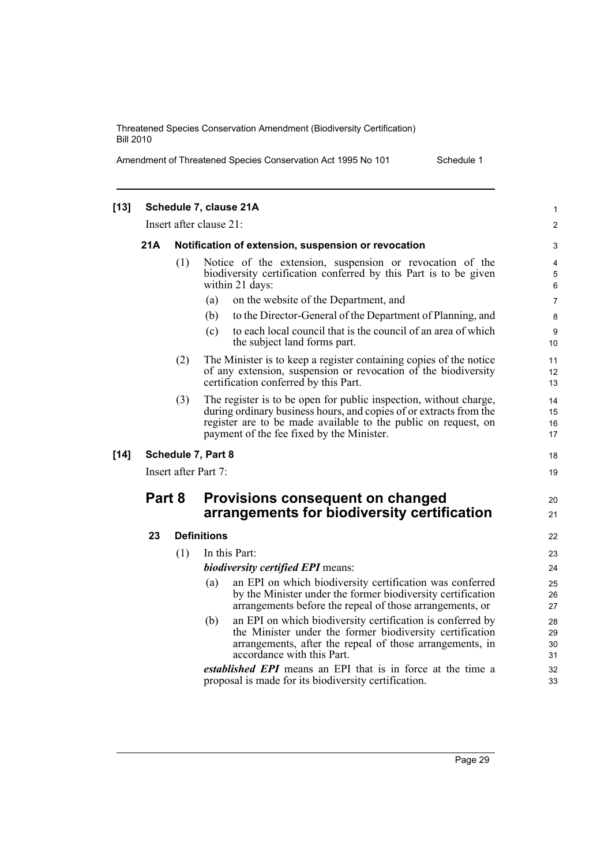Amendment of Threatened Species Conservation Act 1995 No 101 Schedule 1

| $[13]$ |                      |     | Schedule 7, clause 21A                                                                                                                                                                                                                                 | $\mathbf{1}$         |
|--------|----------------------|-----|--------------------------------------------------------------------------------------------------------------------------------------------------------------------------------------------------------------------------------------------------------|----------------------|
|        |                      |     | Insert after clause 21:                                                                                                                                                                                                                                | 2                    |
|        | 21A                  |     | Notification of extension, suspension or revocation                                                                                                                                                                                                    | 3                    |
|        |                      | (1) | Notice of the extension, suspension or revocation of the<br>biodiversity certification conferred by this Part is to be given<br>within 21 days:                                                                                                        | 4<br>5<br>6          |
|        |                      |     | on the website of the Department, and<br>(a)                                                                                                                                                                                                           | $\overline{7}$       |
|        |                      |     | to the Director-General of the Department of Planning, and<br>(b)                                                                                                                                                                                      | 8                    |
|        |                      |     | to each local council that is the council of an area of which<br>(c)<br>the subject land forms part.                                                                                                                                                   | 9<br>10              |
|        |                      | (2) | The Minister is to keep a register containing copies of the notice<br>of any extension, suspension or revocation of the biodiversity<br>certification conferred by this Part.                                                                          | 11<br>12<br>13       |
|        |                      | (3) | The register is to be open for public inspection, without charge,<br>during ordinary business hours, and copies of or extracts from the<br>register are to be made available to the public on request, on<br>payment of the fee fixed by the Minister. | 14<br>15<br>16<br>17 |
| $[14]$ |                      |     | Schedule 7, Part 8                                                                                                                                                                                                                                     | 18                   |
|        | Insert after Part 7: |     |                                                                                                                                                                                                                                                        |                      |
|        | Part 8               |     | Provisions consequent on changed<br>arrangements for biodiversity certification                                                                                                                                                                        | 20<br>21             |
|        | 23                   |     | <b>Definitions</b>                                                                                                                                                                                                                                     | 22                   |
|        |                      | (1) | In this Part:                                                                                                                                                                                                                                          | 23                   |
|        |                      |     | <b>biodiversity certified EPI means:</b>                                                                                                                                                                                                               | 24                   |
|        |                      |     | an EPI on which biodiversity certification was conferred<br>(a)<br>by the Minister under the former biodiversity certification<br>arrangements before the repeal of those arrangements, or                                                             | 25<br>26<br>27       |
|        |                      |     | an EPI on which biodiversity certification is conferred by<br>(b)<br>the Minister under the former biodiversity certification<br>arrangements, after the repeal of those arrangements, in<br>accordance with this Part.                                | 28<br>29<br>30<br>31 |
|        |                      |     | established EPI means an EPI that is in force at the time a<br>proposal is made for its biodiversity certification.                                                                                                                                    | 32<br>33             |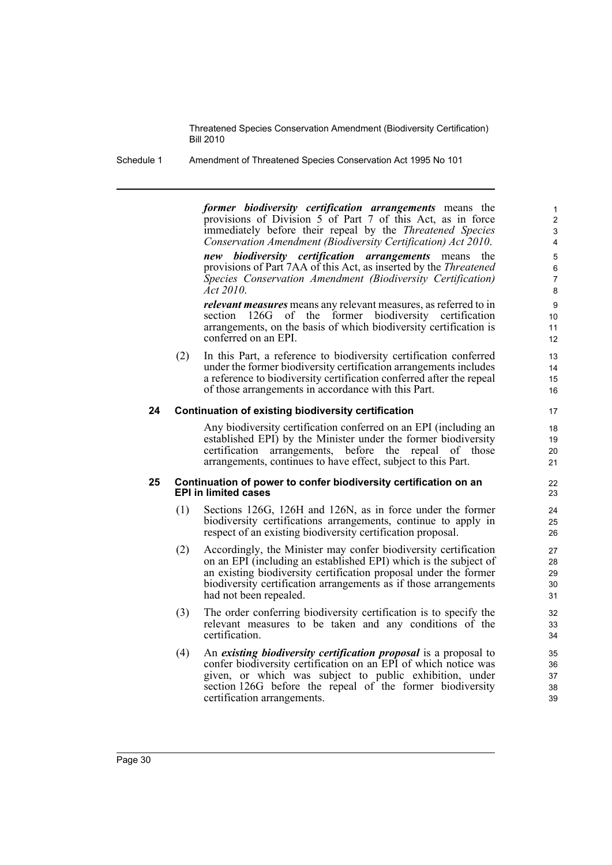Schedule 1 Amendment of Threatened Species Conservation Act 1995 No 101

*former biodiversity certification arrangements* means the provisions of Division 5 of Part 7 of this Act, as in force immediately before their repeal by the *Threatened Species Conservation Amendment (Biodiversity Certification) Act 2010*.

*new biodiversity certification arrangements* means the provisions of Part 7AA of this Act, as inserted by the *Threatened Species Conservation Amendment (Biodiversity Certification) Act 2010*.

*relevant measures* means any relevant measures, as referred to in section 126G of the former biodiversity certification arrangements, on the basis of which biodiversity certification is conferred on an EPI.

(2) In this Part, a reference to biodiversity certification conferred under the former biodiversity certification arrangements includes a reference to biodiversity certification conferred after the repeal of those arrangements in accordance with this Part.

# **24 Continuation of existing biodiversity certification**

Any biodiversity certification conferred on an EPI (including an established EPI) by the Minister under the former biodiversity certification arrangements, before the repeal of those arrangements, continues to have effect, subject to this Part.

# **25 Continuation of power to confer biodiversity certification on an EPI in limited cases**

- (1) Sections 126G, 126H and 126N, as in force under the former biodiversity certifications arrangements, continue to apply in respect of an existing biodiversity certification proposal.
- (2) Accordingly, the Minister may confer biodiversity certification on an EPI (including an established EPI) which is the subject of an existing biodiversity certification proposal under the former biodiversity certification arrangements as if those arrangements had not been repealed.
- (3) The order conferring biodiversity certification is to specify the relevant measures to be taken and any conditions of the certification.
- (4) An *existing biodiversity certification proposal* is a proposal to confer biodiversity certification on an EPI of which notice was given, or which was subject to public exhibition, under section 126G before the repeal of the former biodiversity certification arrangements.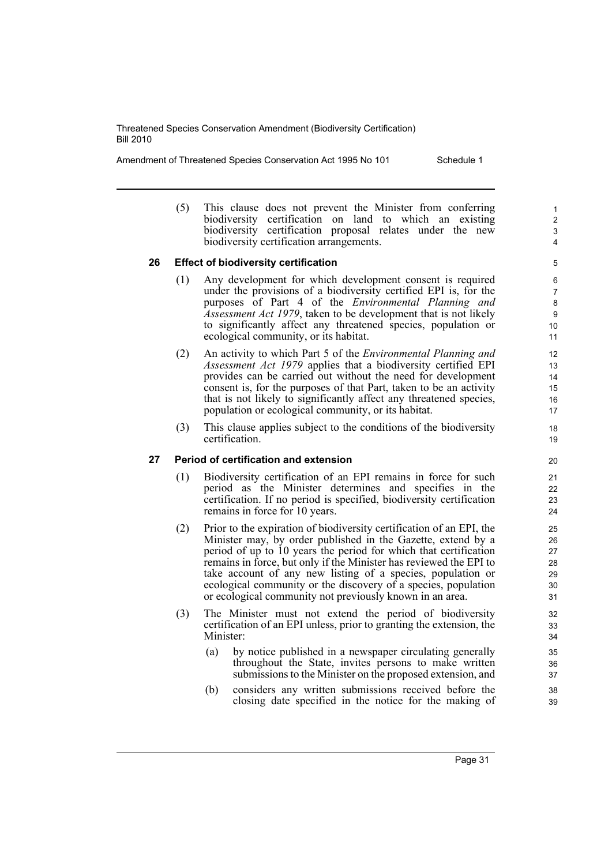Amendment of Threatened Species Conservation Act 1995 No 101 Schedule 1

(5) This clause does not prevent the Minister from conferring biodiversity certification on land to which an existing biodiversity certification proposal relates under the new biodiversity certification arrangements.

# **26 Effect of biodiversity certification**

- (1) Any development for which development consent is required under the provisions of a biodiversity certified EPI is, for the purposes of Part 4 of the *Environmental Planning and Assessment Act 1979*, taken to be development that is not likely to significantly affect any threatened species, population or ecological community, or its habitat.
- (2) An activity to which Part 5 of the *Environmental Planning and Assessment Act 1979* applies that a biodiversity certified EPI provides can be carried out without the need for development consent is, for the purposes of that Part, taken to be an activity that is not likely to significantly affect any threatened species, population or ecological community, or its habitat.
- (3) This clause applies subject to the conditions of the biodiversity certification.

# **27 Period of certification and extension**

- (1) Biodiversity certification of an EPI remains in force for such period as the Minister determines and specifies in the certification. If no period is specified, biodiversity certification remains in force for 10 years.
- (2) Prior to the expiration of biodiversity certification of an EPI, the Minister may, by order published in the Gazette, extend by a period of up to 10 years the period for which that certification remains in force, but only if the Minister has reviewed the EPI to take account of any new listing of a species, population or ecological community or the discovery of a species, population or ecological community not previously known in an area.
- (3) The Minister must not extend the period of biodiversity certification of an EPI unless, prior to granting the extension, the Minister:
	- (a) by notice published in a newspaper circulating generally throughout the State, invites persons to make written submissions to the Minister on the proposed extension, and
	- (b) considers any written submissions received before the closing date specified in the notice for the making of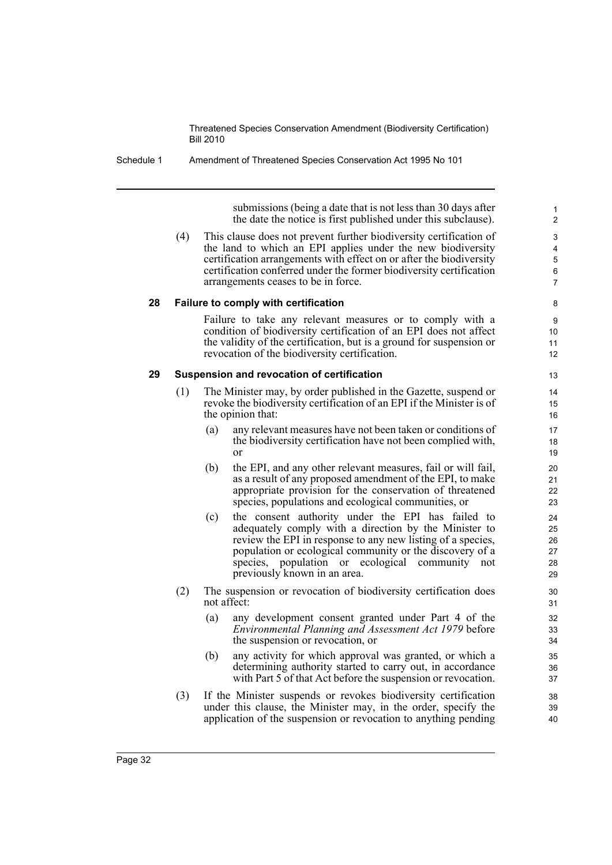Schedule 1 Amendment of Threatened Species Conservation Act 1995 No 101

submissions (being a date that is not less than 30 days after the date the notice is first published under this subclause).

(4) This clause does not prevent further biodiversity certification of the land to which an EPI applies under the new biodiversity certification arrangements with effect on or after the biodiversity certification conferred under the former biodiversity certification arrangements ceases to be in force.

# **28 Failure to comply with certification**

Failure to take any relevant measures or to comply with a condition of biodiversity certification of an EPI does not affect the validity of the certification, but is a ground for suspension or revocation of the biodiversity certification.

#### **29 Suspension and revocation of certification**

- (1) The Minister may, by order published in the Gazette, suspend or revoke the biodiversity certification of an EPI if the Minister is of the opinion that:
	- (a) any relevant measures have not been taken or conditions of the biodiversity certification have not been complied with, or
	- (b) the EPI, and any other relevant measures, fail or will fail, as a result of any proposed amendment of the EPI, to make appropriate provision for the conservation of threatened species, populations and ecological communities, or
	- (c) the consent authority under the EPI has failed to adequately comply with a direction by the Minister to review the EPI in response to any new listing of a species, population or ecological community or the discovery of a species, population or ecological community not previously known in an area.
- (2) The suspension or revocation of biodiversity certification does not affect:
	- (a) any development consent granted under Part 4 of the *Environmental Planning and Assessment Act 1979* before the suspension or revocation, or
	- (b) any activity for which approval was granted, or which a determining authority started to carry out, in accordance with Part 5 of that Act before the suspension or revocation.
- (3) If the Minister suspends or revokes biodiversity certification under this clause, the Minister may, in the order, specify the application of the suspension or revocation to anything pending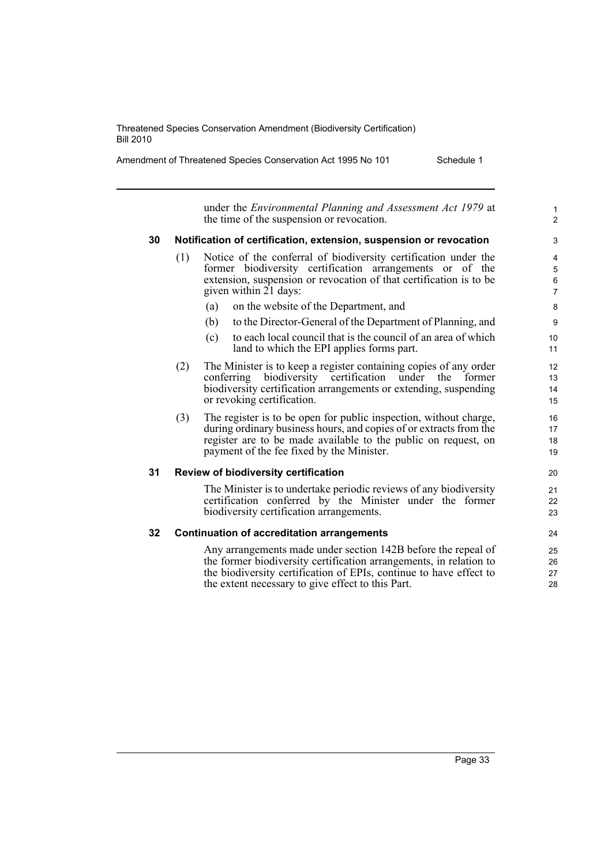Amendment of Threatened Species Conservation Act 1995 No 101 Schedule 1

under the *Environmental Planning and Assessment Act 1979* at the time of the suspension or revocation.

# **30 Notification of certification, extension, suspension or revocation**

- (1) Notice of the conferral of biodiversity certification under the former biodiversity certification arrangements or of the extension, suspension or revocation of that certification is to be given within 21 days:
	- (a) on the website of the Department, and
	- (b) to the Director-General of the Department of Planning, and
	- (c) to each local council that is the council of an area of which land to which the EPI applies forms part.
- (2) The Minister is to keep a register containing copies of any order conferring biodiversity certification under the former biodiversity certification arrangements or extending, suspending or revoking certification.
- (3) The register is to be open for public inspection, without charge, during ordinary business hours, and copies of or extracts from the register are to be made available to the public on request, on payment of the fee fixed by the Minister.

# **31 Review of biodiversity certification**

The Minister is to undertake periodic reviews of any biodiversity certification conferred by the Minister under the former biodiversity certification arrangements.

# **32 Continuation of accreditation arrangements**

Any arrangements made under section 142B before the repeal of the former biodiversity certification arrangements, in relation to the biodiversity certification of EPIs, continue to have effect to the extent necessary to give effect to this Part.

1  $\overline{2}$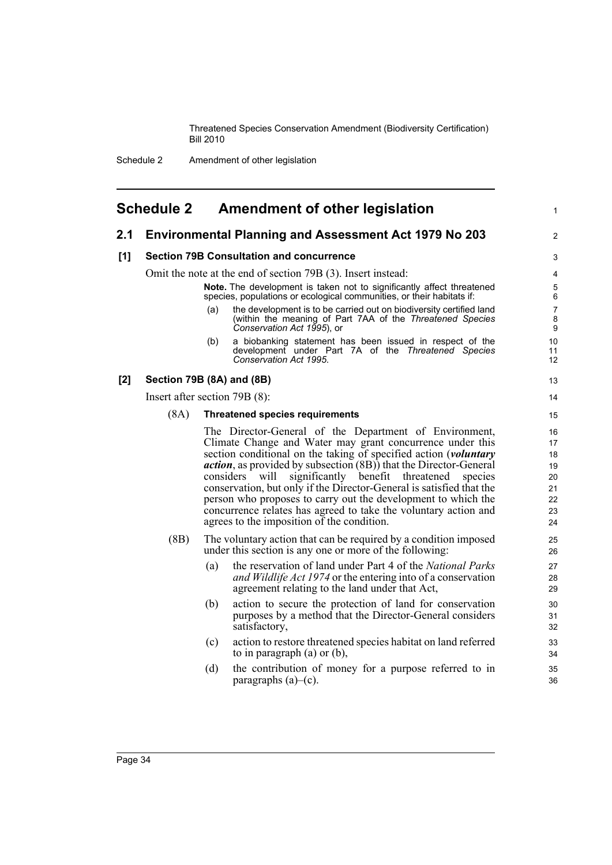# <span id="page-43-0"></span>**Schedule 2 Amendment of other legislation**

# **2.1 Environmental Planning and Assessment Act 1979 No 203**

# **[1] Section 79B Consultation and concurrence**

Omit the note at the end of section 79B (3). Insert instead:

**Note.** The development is taken not to significantly affect threatened species, populations or ecological communities, or their habitats if:

(a) the development is to be carried out on biodiversity certified land (within the meaning of Part 7AA of the *Threatened Species Conservation Act 1995*), or

1

2

(b) a biobanking statement has been issued in respect of the development under Part 7A of the *Threatened Species Conservation Act 1995*.

# **[2] Section 79B (8A) and (8B)**

Insert after section 79B (8):

#### (8A) **Threatened species requirements**

The Director-General of the Department of Environment, Climate Change and Water may grant concurrence under this section conditional on the taking of specified action (*voluntary action*, as provided by subsection (8B)) that the Director-General considers will significantly benefit threatened species conservation, but only if the Director-General is satisfied that the person who proposes to carry out the development to which the concurrence relates has agreed to take the voluntary action and agrees to the imposition of the condition.

- (8B) The voluntary action that can be required by a condition imposed under this section is any one or more of the following:
	- (a) the reservation of land under Part 4 of the *National Parks and Wildlife Act 1974* or the entering into of a conservation agreement relating to the land under that Act,
	- (b) action to secure the protection of land for conservation purposes by a method that the Director-General considers satisfactory,
	- (c) action to restore threatened species habitat on land referred to in paragraph (a) or (b),
	- (d) the contribution of money for a purpose referred to in paragraphs  $(a)$ – $(c)$ .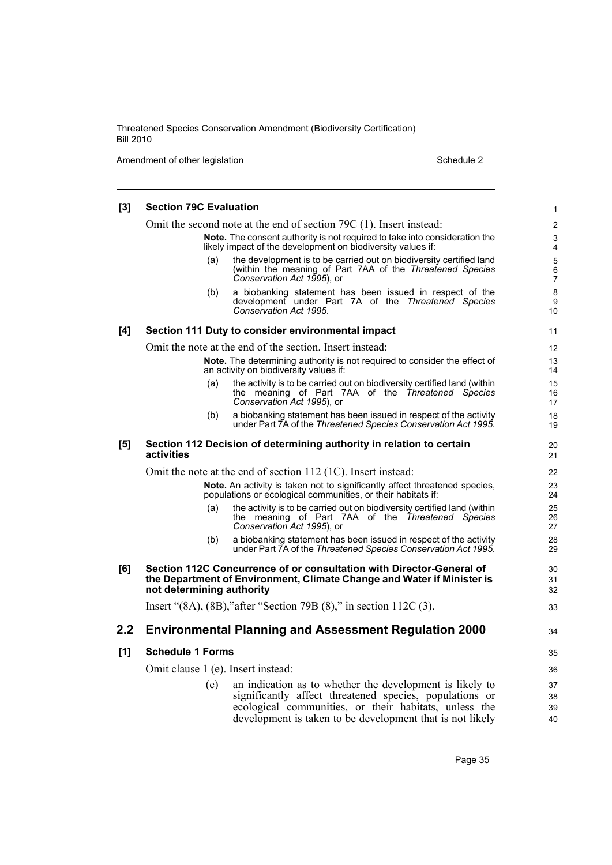Amendment of other legislation Schedule 2

| $[3]$ | <b>Section 79C Evaluation</b>                                                                                                                                               | 1                            |  |
|-------|-----------------------------------------------------------------------------------------------------------------------------------------------------------------------------|------------------------------|--|
|       | Omit the second note at the end of section 79C (1). Insert instead:                                                                                                         | 2                            |  |
|       | <b>Note.</b> The consent authority is not required to take into consideration the<br>likely impact of the development on biodiversity values if:                            | 3<br>4                       |  |
|       | the development is to be carried out on biodiversity certified land<br>(a)<br>(within the meaning of Part 7AA of the Threatened Species<br>Conservation Act 1995), or       | 5<br>$\,6$<br>$\overline{7}$ |  |
|       | a biobanking statement has been issued in respect of the<br>(b)<br>development under Part 7A of the Threatened Species<br>Conservation Act 1995.                            | 8<br>9<br>10                 |  |
| [4]   | Section 111 Duty to consider environmental impact                                                                                                                           | 11                           |  |
|       | Omit the note at the end of the section. Insert instead:                                                                                                                    | 12                           |  |
|       | <b>Note.</b> The determining authority is not required to consider the effect of<br>an activity on biodiversity values if:                                                  | 13<br>14                     |  |
|       | the activity is to be carried out on biodiversity certified land (within<br>(a)<br>the meaning of Part 7AA of the Threatened Species<br>Conservation Act 1995), or          | 15<br>16<br>17               |  |
|       | a biobanking statement has been issued in respect of the activity<br>(b)<br>under Part 7A of the Threatened Species Conservation Act 1995.                                  | 18<br>19                     |  |
| [5]   | Section 112 Decision of determining authority in relation to certain<br>activities                                                                                          | 20<br>21                     |  |
|       | Omit the note at the end of section 112 (1C). Insert instead:                                                                                                               | 22                           |  |
|       | Note. An activity is taken not to significantly affect threatened species,<br>populations or ecological communities, or their habitats if:                                  | 23<br>24                     |  |
|       | the activity is to be carried out on biodiversity certified land (within<br>(a)<br>the meaning of Part 7AA of the Threatened Species<br>Conservation Act 1995), or          | 25<br>26<br>27               |  |
|       | a biobanking statement has been issued in respect of the activity<br>(b)<br>under Part 7A of the Threatened Species Conservation Act 1995.                                  | 28<br>29                     |  |
| [6]   | Section 112C Concurrence of or consultation with Director-General of<br>the Department of Environment, Climate Change and Water if Minister is<br>not determining authority | 30<br>31<br>32               |  |
|       | Insert "(8A), (8B), "after "Section 79B (8)," in section $112C(3)$ .                                                                                                        | 33                           |  |
| 2.2   | <b>Environmental Planning and Assessment Regulation 2000</b>                                                                                                                | 34                           |  |
| $[1]$ | <b>Schedule 1 Forms</b>                                                                                                                                                     | 35                           |  |
|       | Omit clause 1 (e). Insert instead:                                                                                                                                          |                              |  |
|       | an indication as to whether the development is likely to<br>(e)                                                                                                             | 37                           |  |
|       | significantly affect threatened species, populations or                                                                                                                     | 38                           |  |
|       | ecological communities, or their habitats, unless the<br>development is taken to be development that is not likely                                                          | 39<br>40                     |  |
|       |                                                                                                                                                                             |                              |  |

Page 35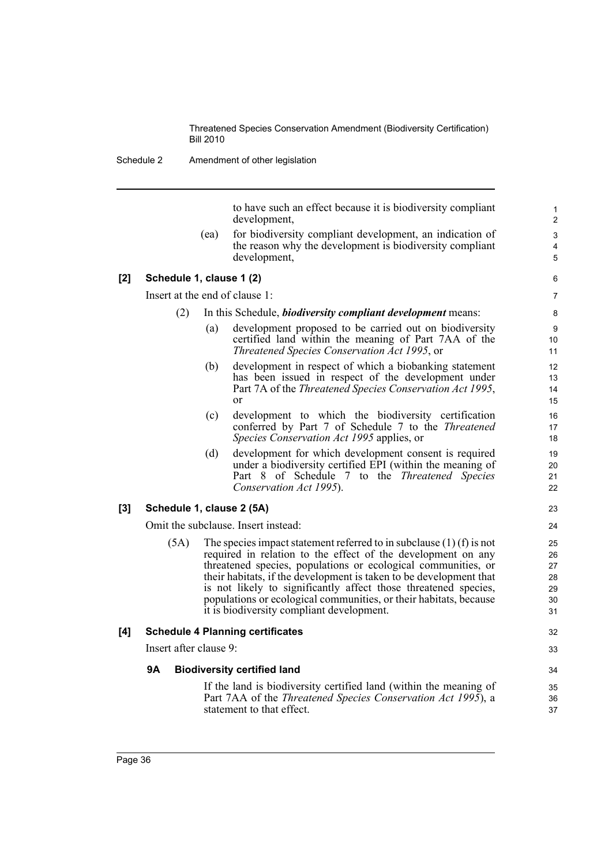Schedule 2 Amendment of other legislation

to have such an effect because it is biodiversity compliant development,

(ea) for biodiversity compliant development, an indication of the reason why the development is biodiversity compliant development,

# **[2] Schedule 1, clause 1 (2)**

Insert at the end of clause 1:

- (2) In this Schedule, *biodiversity compliant development* means:
	- (a) development proposed to be carried out on biodiversity certified land within the meaning of Part 7AA of the *Threatened Species Conservation Act 1995*, or
	- (b) development in respect of which a biobanking statement has been issued in respect of the development under Part 7A of the *Threatened Species Conservation Act 1995*, or
	- (c) development to which the biodiversity certification conferred by Part 7 of Schedule 7 to the *Threatened Species Conservation Act 1995* applies, or
	- (d) development for which development consent is required under a biodiversity certified EPI (within the meaning of Part 8 of Schedule 7 to the *Threatened Species Conservation Act 1995*).

# **[3] Schedule 1, clause 2 (5A)**

Omit the subclause. Insert instead:

 $(5A)$  The species impact statement referred to in subclause  $(1)$  (f) is not required in relation to the effect of the development on any threatened species, populations or ecological communities, or their habitats, if the development is taken to be development that is not likely to significantly affect those threatened species, populations or ecological communities, or their habitats, because it is biodiversity compliant development.

# **[4] Schedule 4 Planning certificates**

Insert after clause 9:

# **9A Biodiversity certified land**

If the land is biodiversity certified land (within the meaning of Part 7AA of the *Threatened Species Conservation Act 1995*), a statement to that effect.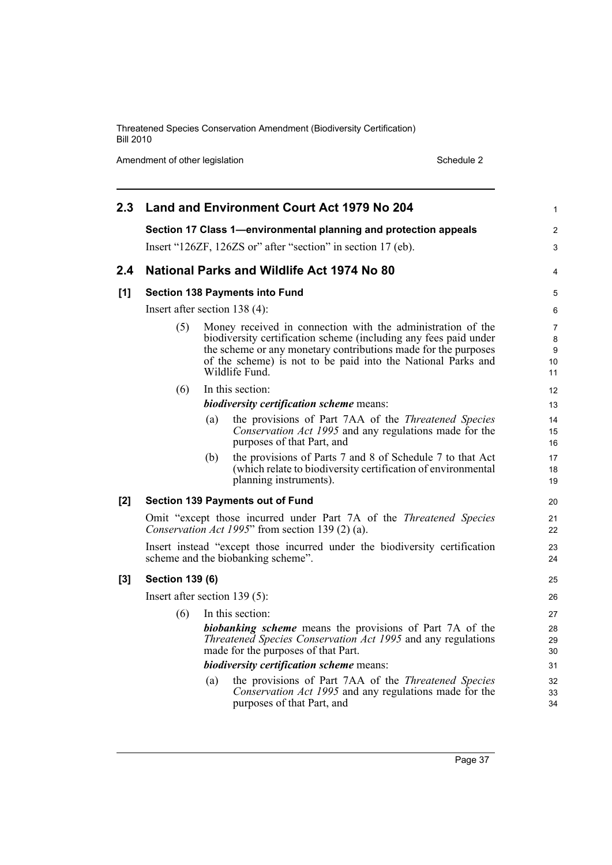Amendment of other legislation Schedule 2

| 2.3   |                                                                                                                         |     | Land and Environment Court Act 1979 No 204                                                                                                                                                                                                                                          | $\mathbf{1}$                         |
|-------|-------------------------------------------------------------------------------------------------------------------------|-----|-------------------------------------------------------------------------------------------------------------------------------------------------------------------------------------------------------------------------------------------------------------------------------------|--------------------------------------|
|       |                                                                                                                         |     | Section 17 Class 1-environmental planning and protection appeals                                                                                                                                                                                                                    | $\overline{2}$                       |
|       | Insert "126ZF, 126ZS or" after "section" in section 17 (eb).                                                            |     |                                                                                                                                                                                                                                                                                     |                                      |
| 2.4   |                                                                                                                         |     | National Parks and Wildlife Act 1974 No 80                                                                                                                                                                                                                                          | 4                                    |
| [1]   |                                                                                                                         |     | <b>Section 138 Payments into Fund</b>                                                                                                                                                                                                                                               | 5                                    |
|       | Insert after section $138(4)$ :                                                                                         |     |                                                                                                                                                                                                                                                                                     | 6                                    |
|       | (5)                                                                                                                     |     | Money received in connection with the administration of the<br>biodiversity certification scheme (including any fees paid under<br>the scheme or any monetary contributions made for the purposes<br>of the scheme) is not to be paid into the National Parks and<br>Wildlife Fund. | $\overline{7}$<br>8<br>9<br>10<br>11 |
|       | (6)                                                                                                                     |     | In this section:                                                                                                                                                                                                                                                                    | 12                                   |
|       |                                                                                                                         |     | <i>biodiversity certification scheme means:</i>                                                                                                                                                                                                                                     | 13                                   |
|       |                                                                                                                         | (a) | the provisions of Part 7AA of the <i>Threatened Species</i><br>Conservation Act 1995 and any regulations made for the<br>purposes of that Part, and                                                                                                                                 | 14<br>15<br>16                       |
|       |                                                                                                                         | (b) | the provisions of Parts 7 and 8 of Schedule 7 to that Act<br>(which relate to biodiversity certification of environmental<br>planning instruments).                                                                                                                                 | 17<br>18<br>19                       |
| [2]   |                                                                                                                         |     | <b>Section 139 Payments out of Fund</b>                                                                                                                                                                                                                                             | 20                                   |
|       | Omit "except those incurred under Part 7A of the Threatened Species<br>Conservation Act 1995" from section 139 (2) (a). |     |                                                                                                                                                                                                                                                                                     |                                      |
|       | Insert instead "except those incurred under the biodiversity certification<br>scheme and the biobanking scheme".        |     |                                                                                                                                                                                                                                                                                     | 23<br>24                             |
| $[3]$ | <b>Section 139 (6)</b>                                                                                                  |     |                                                                                                                                                                                                                                                                                     | 25                                   |
|       | Insert after section $139(5)$ :                                                                                         |     |                                                                                                                                                                                                                                                                                     |                                      |
|       | (6)                                                                                                                     |     | In this section:                                                                                                                                                                                                                                                                    | 27                                   |
|       |                                                                                                                         |     | <b>biobanking scheme</b> means the provisions of Part 7A of the<br>Threatened Species Conservation Act 1995 and any regulations<br>made for the purposes of that Part.                                                                                                              | 28<br>29<br>30                       |
|       |                                                                                                                         |     | <i>biodiversity certification scheme means:</i>                                                                                                                                                                                                                                     | 31                                   |
|       |                                                                                                                         | (a) | the provisions of Part 7AA of the <i>Threatened Species</i><br>Conservation Act 1995 and any regulations made for the<br>purposes of that Part, and                                                                                                                                 | 32<br>33<br>34                       |